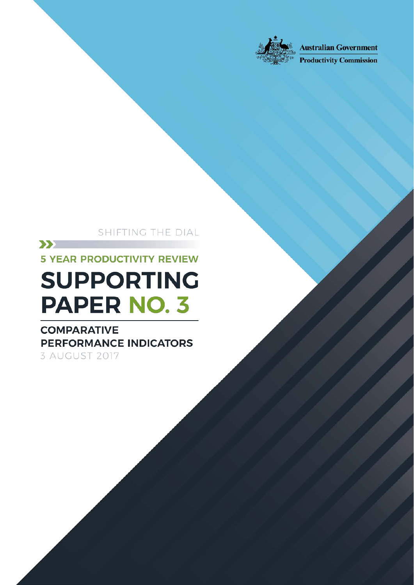

**Australian Government** 

**Productivity Commission** 

SHIFTING THE DIAL

comparative performance indicators in the comparative performance in

Shifting the Dial: 5 year Productivity Review — Supporting Paper No.3, Canberra, August

 $\sum$ **5 YEAR PRODUCTIVITY REVIEW** 

# **SUPPORTING PAPER NO. 3**

**COMPARATIVE PERFORMANCE INDICATORS** 3 AUGUST 2017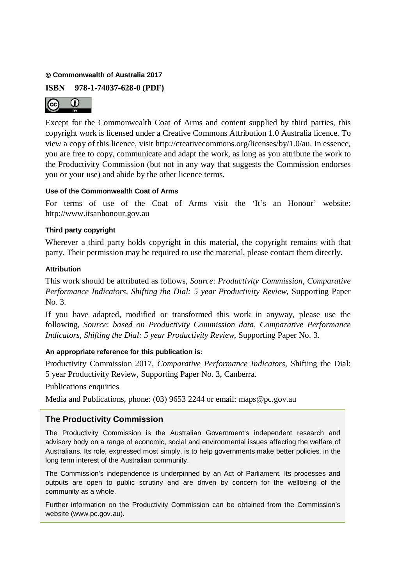#### **Commonwealth of Australia 2017**

**ISBN 978-1-74037-628-0 (PDF)**



Except for the Commonwealth Coat of Arms and content supplied by third parties, this copyright work is licensed under a Creative Commons Attribution 1.0 Australia licence. To view a copy of this licence, visit http://creativecommons.org/licenses/by/1.0/au. In essence, you are free to copy, communicate and adapt the work, as long as you attribute the work to the Productivity Commission (but not in any way that suggests the Commission endorses you or your use) and abide by the other licence terms.

#### **Use of the Commonwealth Coat of Arms**

For terms of use of the Coat of Arms visit the 'It's an Honour' website: http://www.itsanhonour.gov.au

#### **Third party copyright**

Wherever a third party holds copyright in this material, the copyright remains with that party. Their permission may be required to use the material, please contact them directly.

#### **Attribution**

This work should be attributed as follows, *Source*: *Productivity Commission, Comparative Performance Indicators, Shifting the Dial: 5 year Productivity Review*, Supporting Paper No. 3.

If you have adapted, modified or transformed this work in anyway, please use the following, *Source*: *based on Productivity Commission data, Comparative Performance Indicators, Shifting the Dial: 5 year Productivity Review*, Supporting Paper No. 3.

#### **An appropriate reference for this publication is:**

Productivity Commission 2017, *Comparative Performance Indicators,* Shifting the Dial: 5 year Productivity Review, Supporting Paper No. 3, Canberra.

Publications enquiries

Media and Publications, phone: (03) 9653 2244 or email: [maps@pc.gov.au](mailto:maps@pc.gov.au)

#### **The Productivity Commission**

The Productivity Commission is the Australian Government's independent research and advisory body on a range of economic, social and environmental issues affecting the welfare of Australians. Its role, expressed most simply, is to help governments make better policies, in the long term interest of the Australian community.

The Commission's independence is underpinned by an Act of Parliament. Its processes and outputs are open to public scrutiny and are driven by concern for the wellbeing of the community as a whole.

Further information on the Productivity Commission can be obtained from the Commission's website [\(www.pc.gov.au\)](http://www.pc.gov.au/).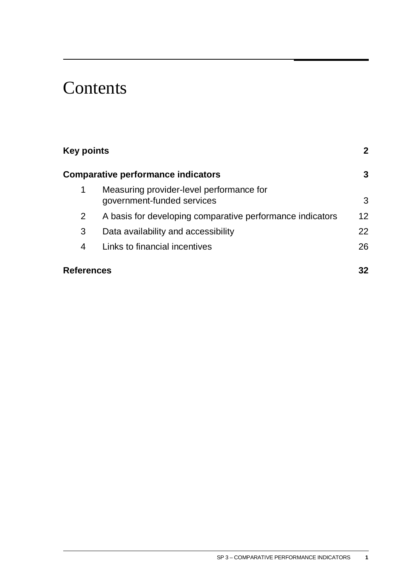# **Contents**

| <b>Key points</b><br><b>Comparative performance indicators</b> |                                                           | $\mathbf{2}$<br>3 |
|----------------------------------------------------------------|-----------------------------------------------------------|-------------------|
|                                                                |                                                           |                   |
| $\mathbf{2}^{\prime}$                                          | A basis for developing comparative performance indicators | 12                |
| 3                                                              | Data availability and accessibility                       | 22                |
| 4                                                              | Links to financial incentives                             | 26                |
| <b>References</b>                                              |                                                           |                   |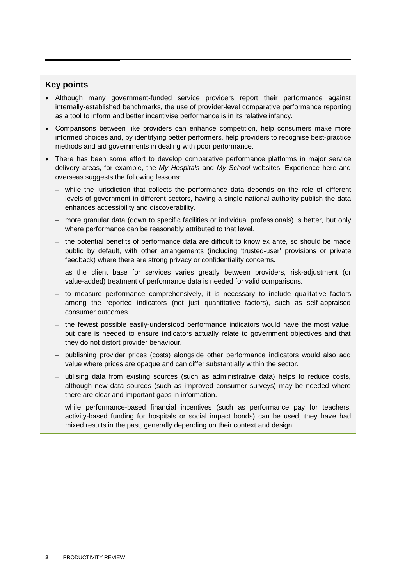#### <span id="page-3-0"></span>**Key points**

- Although many government-funded service providers report their performance against internally-established benchmarks, the use of provider-level comparative performance reporting as a tool to inform and better incentivise performance is in its relative infancy.
- Comparisons between like providers can enhance competition, help consumers make more informed choices and, by identifying better performers, help providers to recognise best-practice methods and aid governments in dealing with poor performance.
- There has been some effort to develop comparative performance platforms in major service delivery areas, for example, the *My Hospitals* and *My School* websites. Experience here and overseas suggests the following lessons:
	- while the jurisdiction that collects the performance data depends on the role of different levels of government in different sectors, having a single national authority publish the data enhances accessibility and discoverability.
	- more granular data (down to specific facilities or individual professionals) is better, but only where performance can be reasonably attributed to that level.
	- the potential benefits of performance data are difficult to know ex ante, so should be made public by default, with other arrangements (including 'trusted-user' provisions or private feedback) where there are strong privacy or confidentiality concerns.
	- as the client base for services varies greatly between providers, risk-adjustment (or value-added) treatment of performance data is needed for valid comparisons.
	- to measure performance comprehensively, it is necessary to include qualitative factors among the reported indicators (not just quantitative factors), such as self-appraised consumer outcomes.
	- the fewest possible easily-understood performance indicators would have the most value, but care is needed to ensure indicators actually relate to government objectives and that they do not distort provider behaviour.
	- publishing provider prices (costs) alongside other performance indicators would also add value where prices are opaque and can differ substantially within the sector.
	- utilising data from existing sources (such as administrative data) helps to reduce costs, although new data sources (such as improved consumer surveys) may be needed where there are clear and important gaps in information.
	- while performance-based financial incentives (such as performance pay for teachers, activity-based funding for hospitals or social impact bonds) can be used, they have had mixed results in the past, generally depending on their context and design.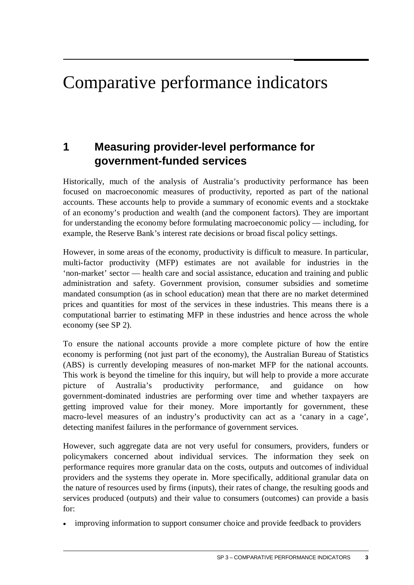# <span id="page-4-0"></span>Comparative performance indicators

## **1 Measuring provider-level performance for government-funded services**

Historically, much of the analysis of Australia's productivity performance has been focused on macroeconomic measures of productivity, reported as part of the national accounts. These accounts help to provide a summary of economic events and a stocktake of an economy's production and wealth (and the component factors). They are important for understanding the economy before formulating macroeconomic policy — including, for example, the Reserve Bank's interest rate decisions or broad fiscal policy settings.

However, in some areas of the economy, productivity is difficult to measure. In particular, multi-factor productivity (MFP) estimates are not available for industries in the 'non-market' sector — health care and social assistance, education and training and public administration and safety. Government provision, consumer subsidies and sometime mandated consumption (as in school education) mean that there are no market determined prices and quantities for most of the services in these industries. This means there is a computational barrier to estimating MFP in these industries and hence across the whole economy (see SP 2).

To ensure the national accounts provide a more complete picture of how the entire economy is performing (not just part of the economy), the Australian Bureau of Statistics (ABS) is currently developing measures of non-market MFP for the national accounts. This work is beyond the timeline for this inquiry, but will help to provide a more accurate picture of Australia's productivity performance, and guidance on how government-dominated industries are performing over time and whether taxpayers are getting improved value for their money. More importantly for government, these macro-level measures of an industry's productivity can act as a 'canary in a cage', detecting manifest failures in the performance of government services.

However, such aggregate data are not very useful for consumers, providers, funders or policymakers concerned about individual services. The information they seek on performance requires more granular data on the costs, outputs and outcomes of individual providers and the systems they operate in. More specifically, additional granular data on the nature of resources used by firms (inputs), their rates of change, the resulting goods and services produced (outputs) and their value to consumers (outcomes) can provide a basis for:

• improving information to support consumer choice and provide feedback to providers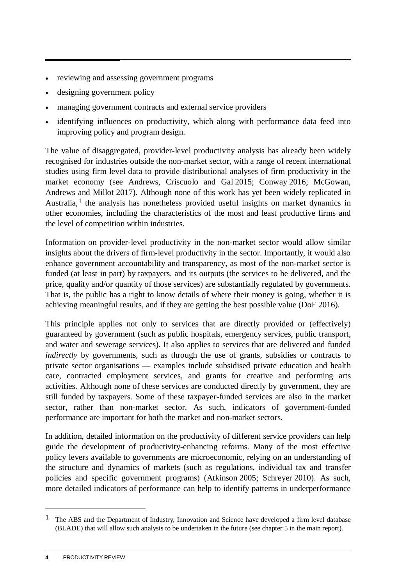- reviewing and assessing government programs
- designing government policy
- managing government contracts and external service providers
- identifying influences on productivity, which along with performance data feed into improving policy and program design.

The value of disaggregated, provider-level productivity analysis has already been widely recognised for industries outside the non-market sector, with a range of recent international studies using firm level data to provide distributional analyses of firm productivity in the market economy (see Andrews, Criscuolo and Gal 2015; Conway 2016; McGowan, Andrews and Millot 2017). Although none of this work has yet been widely replicated in Australia,<sup>[1](#page-5-0)</sup> the analysis has nonetheless provided useful insights on market dynamics in other economies, including the characteristics of the most and least productive firms and the level of competition within industries.

Information on provider-level productivity in the non-market sector would allow similar insights about the drivers of firm-level productivity in the sector. Importantly, it would also enhance government accountability and transparency, as most of the non-market sector is funded (at least in part) by taxpayers, and its outputs (the services to be delivered, and the price, quality and/or quantity of those services) are substantially regulated by governments. That is, the public has a right to know details of where their money is going, whether it is achieving meaningful results, and if they are getting the best possible value (DoF 2016).

This principle applies not only to services that are directly provided or (effectively) guaranteed by government (such as public hospitals, emergency services, public transport, and water and sewerage services). It also applies to services that are delivered and funded *indirectly* by governments, such as through the use of grants, subsidies or contracts to private sector organisations — examples include subsidised private education and health care, contracted employment services, and grants for creative and performing arts activities. Although none of these services are conducted directly by government, they are still funded by taxpayers. Some of these taxpayer-funded services are also in the market sector, rather than non-market sector. As such, indicators of government-funded performance are important for both the market and non-market sectors.

In addition, detailed information on the productivity of different service providers can help guide the development of productivity-enhancing reforms. Many of the most effective policy levers available to governments are microeconomic, relying on an understanding of the structure and dynamics of markets (such as regulations, individual tax and transfer policies and specific government programs) (Atkinson 2005; Schreyer 2010). As such, more detailed indicators of performance can help to identify patterns in underperformance

<span id="page-5-0"></span><sup>&</sup>lt;sup>1</sup> The ABS and the Department of Industry, Innovation and Science have developed a firm level database (BLADE) that will allow such analysis to be undertaken in the future (see chapter 5 in the main report).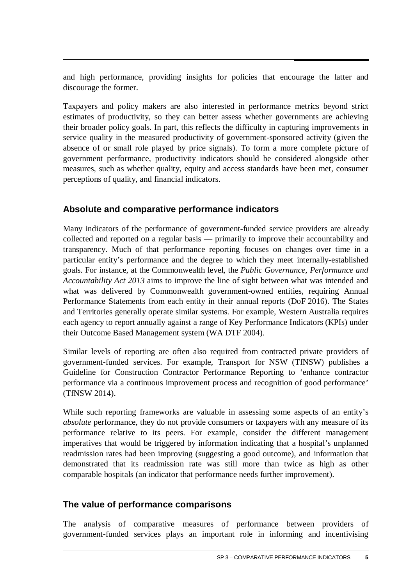and high performance, providing insights for policies that encourage the latter and discourage the former.

Taxpayers and policy makers are also interested in performance metrics beyond strict estimates of productivity, so they can better assess whether governments are achieving their broader policy goals. In part, this reflects the difficulty in capturing improvements in service quality in the measured productivity of government-sponsored activity (given the absence of or small role played by price signals). To form a more complete picture of government performance, productivity indicators should be considered alongside other measures, such as whether quality, equity and access standards have been met, consumer perceptions of quality, and financial indicators.

#### **Absolute and comparative performance indicators**

Many indicators of the performance of government-funded service providers are already collected and reported on a regular basis — primarily to improve their accountability and transparency. Much of that performance reporting focuses on changes over time in a particular entity's performance and the degree to which they meet internally-established goals. For instance, at the Commonwealth level, the *Public Governance, Performance and Accountability Act 2013* aims to improve the line of sight between what was intended and what was delivered by Commonwealth government-owned entities, requiring Annual Performance Statements from each entity in their annual reports (DoF 2016). The States and Territories generally operate similar systems. For example, Western Australia requires each agency to report annually against a range of Key Performance Indicators (KPIs) under their Outcome Based Management system (WA DTF 2004).

Similar levels of reporting are often also required from contracted private providers of government-funded services. For example, Transport for NSW (TfNSW) publishes a Guideline for Construction Contractor Performance Reporting to 'enhance contractor performance via a continuous improvement process and recognition of good performance' (TfNSW 2014).

While such reporting frameworks are valuable in assessing some aspects of an entity's *absolute* performance, they do not provide consumers or taxpayers with any measure of its performance relative to its peers. For example, consider the different management imperatives that would be triggered by information indicating that a hospital's unplanned readmission rates had been improving (suggesting a good outcome), and information that demonstrated that its readmission rate was still more than twice as high as other comparable hospitals (an indicator that performance needs further improvement).

#### **The value of performance comparisons**

The analysis of comparative measures of performance between providers of government-funded services plays an important role in informing and incentivising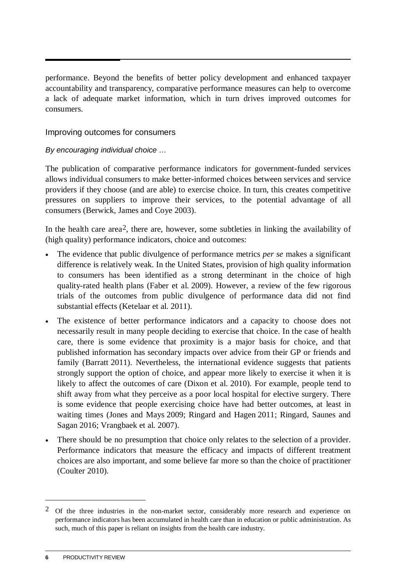performance. Beyond the benefits of better policy development and enhanced taxpayer accountability and transparency, comparative performance measures can help to overcome a lack of adequate market information, which in turn drives improved outcomes for consumers.

#### Improving outcomes for consumers

#### *By encouraging individual choice …*

The publication of comparative performance indicators for government-funded services allows individual consumers to make better-informed choices between services and service providers if they choose (and are able) to exercise choice. In turn, this creates competitive pressures on suppliers to improve their services, to the potential advantage of all consumers (Berwick, James and Coye 2003).

In the health care area<sup>[2](#page-7-0)</sup>, there are, however, some subtleties in linking the availability of (high quality) performance indicators, choice and outcomes:

- The evidence that public divulgence of performance metrics *per se* makes a significant difference is relatively weak. In the United States, provision of high quality information to consumers has been identified as a strong determinant in the choice of high quality-rated health plans (Faber et al. 2009). However, a review of the few rigorous trials of the outcomes from public divulgence of performance data did not find substantial effects (Ketelaar et al. 2011).
- The existence of better performance indicators and a capacity to choose does not necessarily result in many people deciding to exercise that choice. In the case of health care, there is some evidence that proximity is a major basis for choice, and that published information has secondary impacts over advice from their GP or friends and family (Barratt 2011). Nevertheless, the international evidence suggests that patients strongly support the option of choice, and appear more likely to exercise it when it is likely to affect the outcomes of care (Dixon et al. 2010). For example, people tend to shift away from what they perceive as a poor local hospital for elective surgery. There is some evidence that people exercising choice have had better outcomes, at least in waiting times (Jones and Mays 2009; Ringard and Hagen 2011; Ringard, Saunes and Sagan 2016; Vrangbaek et al. 2007).
- There should be no presumption that choice only relates to the selection of a provider. Performance indicators that measure the efficacy and impacts of different treatment choices are also important, and some believe far more so than the choice of practitioner (Coulter 2010).

<span id="page-7-0"></span> $2$  Of the three industries in the non-market sector, considerably more research and experience on performance indicators has been accumulated in health care than in education or public administration. As such, much of this paper is reliant on insights from the health care industry.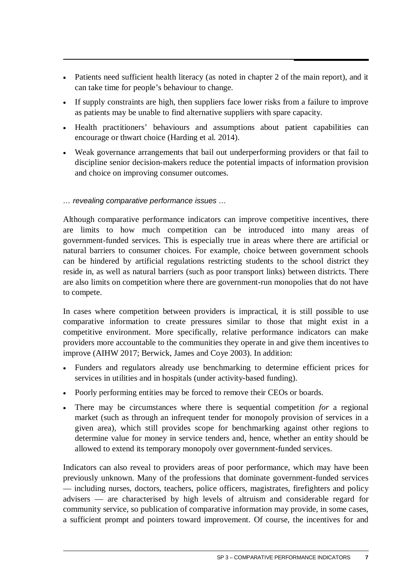- Patients need sufficient health literacy (as noted in chapter 2 of the main report), and it can take time for people's behaviour to change.
- If supply constraints are high, then suppliers face lower risks from a failure to improve as patients may be unable to find alternative suppliers with spare capacity.
- Health practitioners' behaviours and assumptions about patient capabilities can encourage or thwart choice (Harding et al. 2014).
- Weak governance arrangements that bail out underperforming providers or that fail to discipline senior decision-makers reduce the potential impacts of information provision and choice on improving consumer outcomes.

#### *… revealing comparative performance issues …*

Although comparative performance indicators can improve competitive incentives, there are limits to how much competition can be introduced into many areas of government-funded services. This is especially true in areas where there are artificial or natural barriers to consumer choices. For example, choice between government schools can be hindered by artificial regulations restricting students to the school district they reside in, as well as natural barriers (such as poor transport links) between districts. There are also limits on competition where there are government-run monopolies that do not have to compete.

In cases where competition between providers is impractical, it is still possible to use comparative information to create pressures similar to those that might exist in a competitive environment. More specifically, relative performance indicators can make providers more accountable to the communities they operate in and give them incentives to improve (AIHW 2017; Berwick, James and Coye 2003). In addition:

- Funders and regulators already use benchmarking to determine efficient prices for services in utilities and in hospitals (under activity-based funding).
- Poorly performing entities may be forced to remove their CEOs or boards.
- There may be circumstances where there is sequential competition *for* a regional market (such as through an infrequent tender for monopoly provision of services in a given area), which still provides scope for benchmarking against other regions to determine value for money in service tenders and, hence, whether an entity should be allowed to extend its temporary monopoly over government-funded services.

Indicators can also reveal to providers areas of poor performance, which may have been previously unknown. Many of the professions that dominate government-funded services — including nurses, doctors, teachers, police officers, magistrates, firefighters and policy advisers — are characterised by high levels of altruism and considerable regard for community service, so publication of comparative information may provide, in some cases, a sufficient prompt and pointers toward improvement. Of course, the incentives for and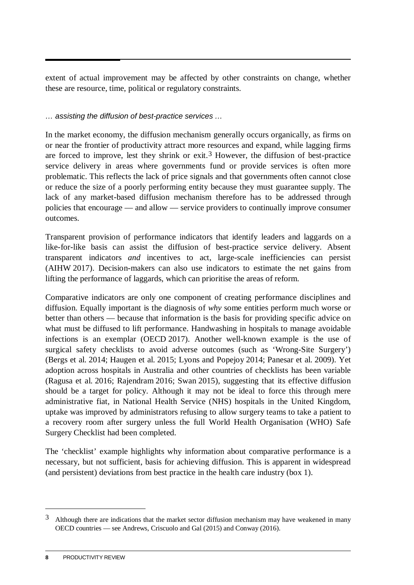extent of actual improvement may be affected by other constraints on change, whether these are resource, time, political or regulatory constraints.

#### *… assisting the diffusion of best-practice services …*

In the market economy, the diffusion mechanism generally occurs organically, as firms on or near the frontier of productivity attract more resources and expand, while lagging firms are forced to improve, lest they shrink or exit.<sup>[3](#page-9-0)</sup> However, the diffusion of best-practice service delivery in areas where governments fund or provide services is often more problematic. This reflects the lack of price signals and that governments often cannot close or reduce the size of a poorly performing entity because they must guarantee supply. The lack of any market-based diffusion mechanism therefore has to be addressed through policies that encourage — and allow — service providers to continually improve consumer outcomes.

Transparent provision of performance indicators that identify leaders and laggards on a like-for-like basis can assist the diffusion of best-practice service delivery. Absent transparent indicators *and* incentives to act, large-scale inefficiencies can persist (AIHW 2017). Decision-makers can also use indicators to estimate the net gains from lifting the performance of laggards, which can prioritise the areas of reform.

Comparative indicators are only one component of creating performance disciplines and diffusion. Equally important is the diagnosis of *why* some entities perform much worse or better than others — because that information is the basis for providing specific advice on what must be diffused to lift performance. Handwashing in hospitals to manage avoidable infections is an exemplar (OECD 2017). Another well-known example is the use of surgical safety checklists to avoid adverse outcomes (such as 'Wrong-Site Surgery') (Bergs et al. 2014; Haugen et al. 2015; Lyons and Popejoy 2014; Panesar et al. 2009). Yet adoption across hospitals in Australia and other countries of checklists has been variable (Ragusa et al. 2016; Rajendram 2016; Swan 2015), suggesting that its effective diffusion should be a target for policy. Although it may not be ideal to force this through mere administrative fiat, in National Health Service (NHS) hospitals in the United Kingdom, uptake was improved by administrators refusing to allow surgery teams to take a patient to a recovery room after surgery unless the full World Health Organisation (WHO) Safe Surgery Checklist had been completed.

The 'checklist' example highlights why information about comparative performance is a necessary, but not sufficient, basis for achieving diffusion. This is apparent in widespread (and persistent) deviations from best practice in the health care industry (box 1).

<span id="page-9-0"></span><sup>3</sup> Although there are indications that the market sector diffusion mechanism may have weakened in many OECD countries — see Andrews, Criscuolo and Gal (2015) and Conway (2016).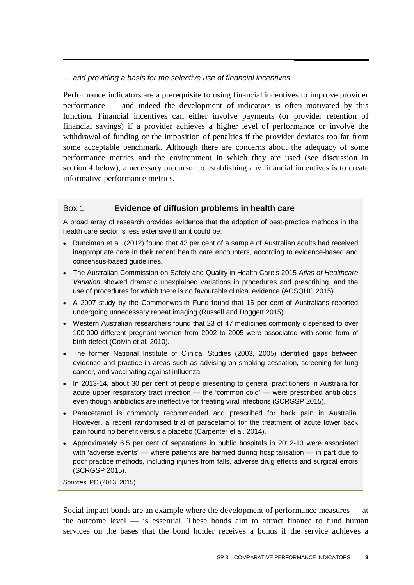*… and providing a basis for the selective use of financial incentives*

Performance indicators are a prerequisite to using financial incentives to improve provider performance — and indeed the development of indicators is often motivated by this function. Financial incentives can either involve payments (or provider retention of financial savings) if a provider achieves a higher level of performance or involve the withdrawal of funding or the imposition of penalties if the provider deviates too far from some acceptable benchmark. Although there are concerns about the adequacy of some performance metrics and the environment in which they are used (see discussion in section 4 below), a necessary precursor to establishing any financial incentives is to create informative performance metrics.

#### Box 1 **Evidence of diffusion problems in health care**

A broad array of research provides evidence that the adoption of best-practice methods in the health care sector is less extensive than it could be:

- Runciman et al. (2012) found that 43 per cent of a sample of Australian adults had received inappropriate care in their recent health care encounters, according to evidence-based and consensus-based guidelines.
- The Australian Commission on Safety and Quality in Health Care's 2015 *Atlas of Healthcare Variation* showed dramatic unexplained variations in procedures and prescribing, and the use of procedures for which there is no favourable clinical evidence (ACSQHC 2015).
- A 2007 study by the Commonwealth Fund found that 15 per cent of Australians reported undergoing unnecessary repeat imaging (Russell and Doggett 2015).
- Western Australian researchers found that 23 of 47 medicines commonly dispensed to over 100 000 different pregnant women from 2002 to 2005 were associated with some form of birth defect (Colvin et al. 2010).
- The former National Institute of Clinical Studies (2003, 2005) identified gaps between evidence and practice in areas such as advising on smoking cessation, screening for lung cancer, and vaccinating against influenza.
- In 2013-14, about 30 per cent of people presenting to general practitioners in Australia for acute upper respiratory tract infection — the 'common cold' — were prescribed antibiotics, even though antibiotics are ineffective for treating viral infections (SCRGSP 2015).
- Paracetamol is commonly recommended and prescribed for back pain in Australia. However, a recent randomised trial of paracetamol for the treatment of acute lower back pain found no benefit versus a placebo (Carpenter et al. 2014).
- Approximately 6.5 per cent of separations in public hospitals in 2012-13 were associated with 'adverse events' — where patients are harmed during hospitalisation — in part due to poor practice methods, including injuries from falls, adverse drug effects and surgical errors (SCRGSP 2015).

*Sources*: PC (2013, 2015).

Social impact bonds are an example where the development of performance measures — at the outcome level — is essential. These bonds aim to attract finance to fund human services on the bases that the bond holder receives a bonus if the service achieves a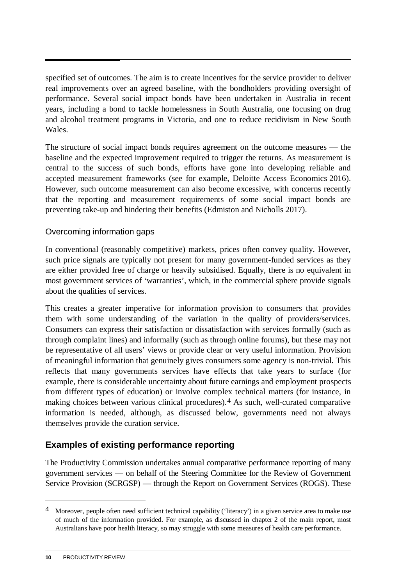specified set of outcomes. The aim is to create incentives for the service provider to deliver real improvements over an agreed baseline, with the bondholders providing oversight of performance. Several social impact bonds have been undertaken in Australia in recent years, including a bond to tackle homelessness in South Australia, one focusing on drug and alcohol treatment programs in Victoria, and one to reduce recidivism in New South Wales.

The structure of social impact bonds requires agreement on the outcome measures — the baseline and the expected improvement required to trigger the returns. As measurement is central to the success of such bonds, efforts have gone into developing reliable and accepted measurement frameworks (see for example, Deloitte Access Economics 2016). However, such outcome measurement can also become excessive, with concerns recently that the reporting and measurement requirements of some social impact bonds are preventing take-up and hindering their benefits (Edmiston and Nicholls 2017).

#### Overcoming information gaps

In conventional (reasonably competitive) markets, prices often convey quality. However, such price signals are typically not present for many government-funded services as they are either provided free of charge or heavily subsidised. Equally, there is no equivalent in most government services of 'warranties', which, in the commercial sphere provide signals about the qualities of services.

This creates a greater imperative for information provision to consumers that provides them with some understanding of the variation in the quality of providers/services. Consumers can express their satisfaction or dissatisfaction with services formally (such as through complaint lines) and informally (such as through online forums), but these may not be representative of all users' views or provide clear or very useful information. Provision of meaningful information that genuinely gives consumers some agency is non-trivial. This reflects that many governments services have effects that take years to surface (for example, there is considerable uncertainty about future earnings and employment prospects from different types of education) or involve complex technical matters (for instance, in making choices between various clinical procedures).[4](#page-11-0) As such, well-curated comparative information is needed, although, as discussed below, governments need not always themselves provide the curation service.

#### **Examples of existing performance reporting**

The Productivity Commission undertakes annual comparative performance reporting of many government services — on behalf of the Steering Committee for the Review of Government Service Provision (SCRGSP) — through the Report on Government Services (ROGS). These

<span id="page-11-0"></span><sup>4</sup> Moreover, people often need sufficient technical capability ('literacy') in a given service area to make use of much of the information provided. For example, as discussed in chapter 2 of the main report, most Australians have poor health literacy, so may struggle with some measures of health care performance.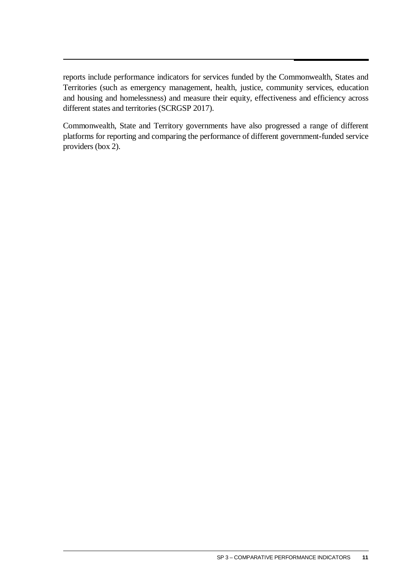reports include performance indicators for services funded by the Commonwealth, States and Territories (such as emergency management, health, justice, community services, education and housing and homelessness) and measure their equity, effectiveness and efficiency across different states and territories (SCRGSP 2017).

Commonwealth, State and Territory governments have also progressed a range of different platforms for reporting and comparing the performance of different government-funded service providers (box 2).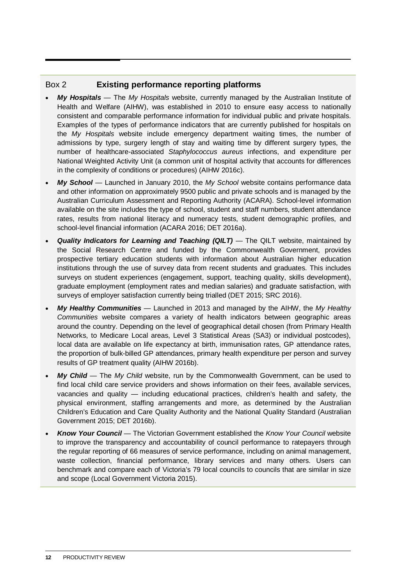#### Box 2 **Existing performance reporting platforms**

- *My Hospitals* The *My Hospitals* website, currently managed by the Australian Institute of Health and Welfare (AIHW), was established in 2010 to ensure easy access to nationally consistent and comparable performance information for individual public and private hospitals. Examples of the types of performance indicators that are currently published for hospitals on the *My Hospitals* website include emergency department waiting times, the number of admissions by type, surgery length of stay and waiting time by different surgery types, the number of healthcare-associated *Staphylococcus aureus* infections, and expenditure per National Weighted Activity Unit (a common unit of hospital activity that accounts for differences in the complexity of conditions or procedures) (AIHW 2016c).
- *My School* Launched in January 2010, the *My School* website contains performance data and other information on approximately 9500 public and private schools and is managed by the Australian Curriculum Assessment and Reporting Authority (ACARA). School-level information available on the site includes the type of school, student and staff numbers, student attendance rates, results from national literacy and numeracy tests, student demographic profiles, and school-level financial information (ACARA 2016; DET 2016a).
- *Quality Indicators for Learning and Teaching (QILT)* The QILT website, maintained by the Social Research Centre and funded by the Commonwealth Government, provides prospective tertiary education students with information about Australian higher education institutions through the use of survey data from recent students and graduates. This includes surveys on student experiences (engagement, support, teaching quality, skills development), graduate employment (employment rates and median salaries) and graduate satisfaction, with surveys of employer satisfaction currently being trialled (DET 2015; SRC 2016).
- *My Healthy Communities* Launched in 2013 and managed by the AIHW, the *My Healthy Communities* website compares a variety of health indicators between geographic areas around the country. Depending on the level of geographical detail chosen (from Primary Health Networks, to Medicare Local areas, Level 3 Statistical Areas (SA3) or individual postcodes), local data are available on life expectancy at birth, immunisation rates, GP attendance rates, the proportion of bulk-billed GP attendances, primary health expenditure per person and survey results of GP treatment quality (AIHW 2016b).
- *My Child* The *My Child* website, run by the Commonwealth Government, can be used to find local child care service providers and shows information on their fees, available services, vacancies and quality — including educational practices, children's health and safety, the physical environment, staffing arrangements and more, as determined by the Australian Children's Education and Care Quality Authority and the National Quality Standard (Australian Government 2015; DET 2016b).
- *Know Your Council*  The Victorian Government established the *Know Your Council* website to improve the transparency and accountability of council performance to ratepayers through the regular reporting of 66 measures of service performance, including on animal management, waste collection, financial performance, library services and many others. Users can benchmark and compare each of Victoria's 79 local councils to councils that are similar in size and scope (Local Government Victoria 2015).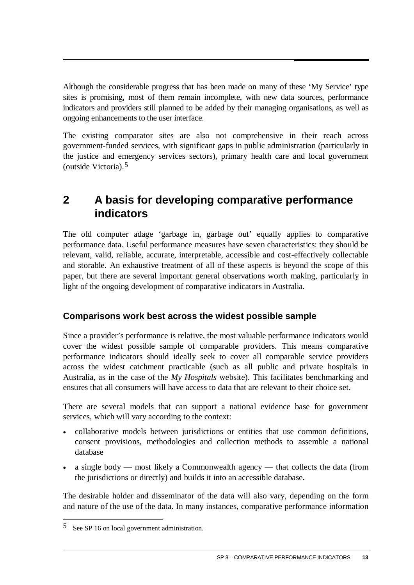<span id="page-14-0"></span>Although the considerable progress that has been made on many of these 'My Service' type sites is promising, most of them remain incomplete, with new data sources, performance indicators and providers still planned to be added by their managing organisations, as well as ongoing enhancements to the user interface.

The existing comparator sites are also not comprehensive in their reach across government-funded services, with significant gaps in public administration (particularly in the justice and emergency services sectors), primary health care and local government (outside Victoria).[5](#page-14-1)

## **2 A basis for developing comparative performance indicators**

The old computer adage 'garbage in, garbage out' equally applies to comparative performance data. Useful performance measures have seven characteristics: they should be relevant, valid, reliable, accurate, interpretable, accessible and cost-effectively collectable and storable. An exhaustive treatment of all of these aspects is beyond the scope of this paper, but there are several important general observations worth making, particularly in light of the ongoing development of comparative indicators in Australia.

#### **Comparisons work best across the widest possible sample**

Since a provider's performance is relative, the most valuable performance indicators would cover the widest possible sample of comparable providers. This means comparative performance indicators should ideally seek to cover all comparable service providers across the widest catchment practicable (such as all public and private hospitals in Australia, as in the case of the *My Hospitals* website). This facilitates benchmarking and ensures that all consumers will have access to data that are relevant to their choice set.

There are several models that can support a national evidence base for government services, which will vary according to the context:

- collaborative models between jurisdictions or entities that use common definitions, consent provisions, methodologies and collection methods to assemble a national database
- a single body most likely a Commonwealth agency that collects the data (from the jurisdictions or directly) and builds it into an accessible database.

The desirable holder and disseminator of the data will also vary, depending on the form and nature of the use of the data. In many instances, comparative performance information

<span id="page-14-1"></span> $\overline{a}$  $5$  See SP 16 on local government administration.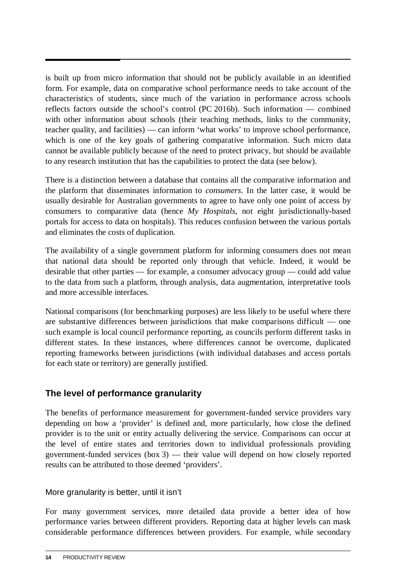is built up from micro information that should not be publicly available in an identified form. For example, data on comparative school performance needs to take account of the characteristics of students, since much of the variation in performance across schools reflects factors outside the school's control (PC 2016b). Such information — combined with other information about schools (their teaching methods, links to the community, teacher quality, and facilities) — can inform 'what works' to improve school performance, which is one of the key goals of gathering comparative information. Such micro data cannot be available publicly because of the need to protect privacy, but should be available to any research institution that has the capabilities to protect the data (see below).

There is a distinction between a database that contains all the comparative information and the platform that disseminates information to *consumers*. In the latter case, it would be usually desirable for Australian governments to agree to have only one point of access by consumers to comparative data (hence *My Hospitals*, not eight jurisdictionally-based portals for access to data on hospitals). This reduces confusion between the various portals and eliminates the costs of duplication.

The availability of a single government platform for informing consumers does not mean that national data should be reported only through that vehicle. Indeed, it would be desirable that other parties — for example, a consumer advocacy group — could add value to the data from such a platform, through analysis, data augmentation, interpretative tools and more accessible interfaces.

National comparisons (for benchmarking purposes) are less likely to be useful where there are substantive differences between jurisdictions that make comparisons difficult — one such example is local council performance reporting, as councils perform different tasks in different states. In these instances, where differences cannot be overcome, duplicated reporting frameworks between jurisdictions (with individual databases and access portals for each state or territory) are generally justified.

#### **The level of performance granularity**

The benefits of performance measurement for government-funded service providers vary depending on how a 'provider' is defined and, more particularly, how close the defined provider is to the unit or entity actually delivering the service. Comparisons can occur at the level of entire states and territories down to individual professionals providing government-funded services (box 3) — their value will depend on how closely reported results can be attributed to those deemed 'providers'.

#### More granularity is better, until it isn't

For many government services, more detailed data provide a better idea of how performance varies between different providers. Reporting data at higher levels can mask considerable performance differences between providers. For example, while secondary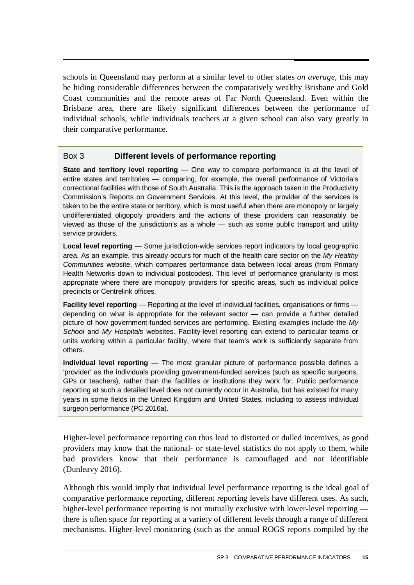schools in Queensland may perform at a similar level to other states *on average*, this may be hiding considerable differences between the comparatively wealthy Brisbane and Gold Coast communities and the remote areas of Far North Queensland. Even within the Brisbane area, there are likely significant differences between the performance of individual schools, while individuals teachers at a given school can also vary greatly in their comparative performance.

#### Box 3 **Different levels of performance reporting**

**State and territory level reporting** — One way to compare performance is at the level of entire states and territories — comparing, for example, the overall performance of Victoria's correctional facilities with those of South Australia. This is the approach taken in the Productivity Commission's Reports on Government Services. At this level, the provider of the services is taken to be the entire state or territory, which is most useful when there are monopoly or largely undifferentiated oligopoly providers and the actions of these providers can reasonably be viewed as those of the jurisdiction's as a whole — such as some public transport and utility service providers.

**Local level reporting** — Some jurisdiction-wide services report indicators by local geographic area. As an example, this already occurs for much of the health care sector on the *My Healthy Communities* website, which compares performance data between local areas (from Primary Health Networks down to individual postcodes). This level of performance granularity is most appropriate where there are monopoly providers for specific areas, such as individual police precincts or Centrelink offices.

**Facility level reporting** — Reporting at the level of individual facilities, organisations or firms depending on what is appropriate for the relevant sector — can provide a further detailed picture of how government-funded services are performing. Existing examples include the *My School* and *My Hospitals* websites. Facility-level reporting can extend to particular teams or units working within a particular facility, where that team's work is sufficiently separate from others.

**Individual level reporting** — The most granular picture of performance possible defines a 'provider' as the individuals providing government-funded services (such as specific surgeons, GPs or teachers), rather than the facilities or institutions they work for. Public performance reporting at such a detailed level does not currently occur in Australia, but has existed for many years in some fields in the United Kingdom and United States, including to assess individual surgeon performance (PC 2016a).

Higher-level performance reporting can thus lead to distorted or dulled incentives, as good providers may know that the national- or state-level statistics do not apply to them, while bad providers know that their performance is camouflaged and not identifiable (Dunleavy 2016).

Although this would imply that individual level performance reporting is the ideal goal of comparative performance reporting, different reporting levels have different uses. As such, higher-level performance reporting is not mutually exclusive with lower-level reporting there is often space for reporting at a variety of different levels through a range of different mechanisms. Higher-level monitoring (such as the annual ROGS reports compiled by the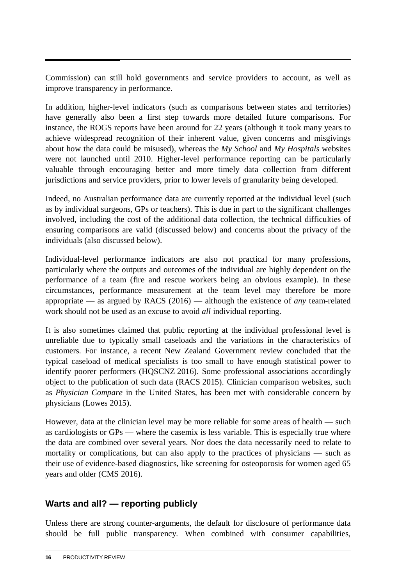Commission) can still hold governments and service providers to account, as well as improve transparency in performance.

In addition, higher-level indicators (such as comparisons between states and territories) have generally also been a first step towards more detailed future comparisons. For instance, the ROGS reports have been around for 22 years (although it took many years to achieve widespread recognition of their inherent value, given concerns and misgivings about how the data could be misused), whereas the *My School* and *My Hospitals* websites were not launched until 2010. Higher-level performance reporting can be particularly valuable through encouraging better and more timely data collection from different jurisdictions and service providers, prior to lower levels of granularity being developed.

Indeed, no Australian performance data are currently reported at the individual level (such as by individual surgeons, GPs or teachers). This is due in part to the significant challenges involved, including the cost of the additional data collection, the technical difficulties of ensuring comparisons are valid (discussed below) and concerns about the privacy of the individuals (also discussed below).

Individual-level performance indicators are also not practical for many professions, particularly where the outputs and outcomes of the individual are highly dependent on the performance of a team (fire and rescue workers being an obvious example). In these circumstances, performance measurement at the team level may therefore be more appropriate — as argued by RACS (2016) — although the existence of *any* team-related work should not be used as an excuse to avoid *all* individual reporting.

It is also sometimes claimed that public reporting at the individual professional level is unreliable due to typically small caseloads and the variations in the characteristics of customers. For instance, a recent New Zealand Government review concluded that the typical caseload of medical specialists is too small to have enough statistical power to identify poorer performers (HQSCNZ 2016). Some professional associations accordingly object to the publication of such data (RACS 2015). Clinician comparison websites, such as *Physician Compare* in the United States, has been met with considerable concern by physicians (Lowes 2015).

However, data at the clinician level may be more reliable for some areas of health — such as cardiologists or GPs — where the casemix is less variable. This is especially true where the data are combined over several years. Nor does the data necessarily need to relate to mortality or complications, but can also apply to the practices of physicians — such as their use of evidence-based diagnostics, like screening for osteoporosis for women aged 65 years and older (CMS 2016).

#### **Warts and all? — reporting publicly**

Unless there are strong counter-arguments, the default for disclosure of performance data should be full public transparency. When combined with consumer capabilities,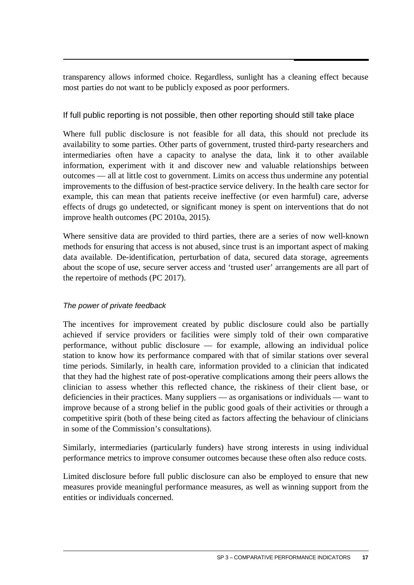transparency allows informed choice. Regardless, sunlight has a cleaning effect because most parties do not want to be publicly exposed as poor performers.

#### If full public reporting is not possible, then other reporting should still take place

Where full public disclosure is not feasible for all data, this should not preclude its availability to some parties. Other parts of government, trusted third-party researchers and intermediaries often have a capacity to analyse the data, link it to other available information, experiment with it and discover new and valuable relationships between outcomes — all at little cost to government. Limits on access thus undermine any potential improvements to the diffusion of best-practice service delivery. In the health care sector for example, this can mean that patients receive ineffective (or even harmful) care, adverse effects of drugs go undetected, or significant money is spent on interventions that do not improve health outcomes (PC 2010a, 2015).

Where sensitive data are provided to third parties, there are a series of now well-known methods for ensuring that access is not abused, since trust is an important aspect of making data available. De-identification, perturbation of data, secured data storage, agreements about the scope of use, secure server access and 'trusted user' arrangements are all part of the repertoire of methods (PC 2017).

#### *The power of private feedback*

The incentives for improvement created by public disclosure could also be partially achieved if service providers or facilities were simply told of their own comparative performance, without public disclosure — for example, allowing an individual police station to know how its performance compared with that of similar stations over several time periods. Similarly, in health care, information provided to a clinician that indicated that they had the highest rate of post-operative complications among their peers allows the clinician to assess whether this reflected chance, the riskiness of their client base, or deficiencies in their practices. Many suppliers — as organisations or individuals — want to improve because of a strong belief in the public good goals of their activities or through a competitive spirit (both of these being cited as factors affecting the behaviour of clinicians in some of the Commission's consultations).

Similarly, intermediaries (particularly funders) have strong interests in using individual performance metrics to improve consumer outcomes because these often also reduce costs.

Limited disclosure before full public disclosure can also be employed to ensure that new measures provide meaningful performance measures, as well as winning support from the entities or individuals concerned.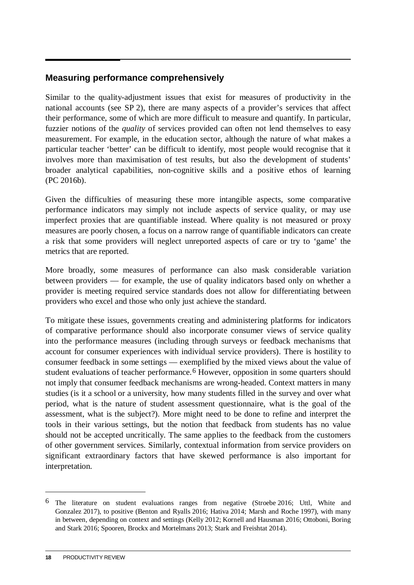#### **Measuring performance comprehensively**

Similar to the quality-adjustment issues that exist for measures of productivity in the national accounts (see SP 2), there are many aspects of a provider's services that affect their performance, some of which are more difficult to measure and quantify. In particular, fuzzier notions of the *quality* of services provided can often not lend themselves to easy measurement. For example, in the education sector, although the nature of what makes a particular teacher 'better' can be difficult to identify, most people would recognise that it involves more than maximisation of test results, but also the development of students' broader analytical capabilities, non-cognitive skills and a positive ethos of learning (PC 2016b).

Given the difficulties of measuring these more intangible aspects, some comparative performance indicators may simply not include aspects of service quality, or may use imperfect proxies that are quantifiable instead. Where quality is not measured or proxy measures are poorly chosen, a focus on a narrow range of quantifiable indicators can create a risk that some providers will neglect unreported aspects of care or try to 'game' the metrics that are reported.

More broadly, some measures of performance can also mask considerable variation between providers — for example, the use of quality indicators based only on whether a provider is meeting required service standards does not allow for differentiating between providers who excel and those who only just achieve the standard.

To mitigate these issues, governments creating and administering platforms for indicators of comparative performance should also incorporate consumer views of service quality into the performance measures (including through surveys or feedback mechanisms that account for consumer experiences with individual service providers). There is hostility to consumer feedback in some settings — exemplified by the mixed views about the value of student evaluations of teacher performance.<sup>[6](#page-19-0)</sup> However, opposition in some quarters should not imply that consumer feedback mechanisms are wrong-headed. Context matters in many studies (is it a school or a university, how many students filled in the survey and over what period, what is the nature of student assessment questionnaire, what is the goal of the assessment, what is the subject?). More might need to be done to refine and interpret the tools in their various settings, but the notion that feedback from students has no value should not be accepted uncritically. The same applies to the feedback from the customers of other government services. Similarly, contextual information from service providers on significant extraordinary factors that have skewed performance is also important for interpretation.

<span id="page-19-0"></span><sup>6</sup> The literature on student evaluations ranges from negative (Stroebe 2016; Uttl, White and Gonzalez 2017), to positive (Benton and Ryalls 2016; Hativa 2014; Marsh and Roche 1997), with many in between, depending on context and settings (Kelly 2012; Kornell and Hausman 2016; Ottoboni, Boring and Stark 2016; Spooren, Brockx and Mortelmans 2013; Stark and Freishtat 2014).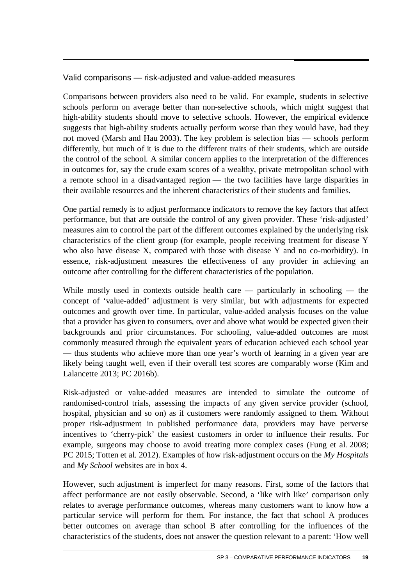#### Valid comparisons — risk-adjusted and value-added measures

Comparisons between providers also need to be valid. For example, students in selective schools perform on average better than non-selective schools, which might suggest that high-ability students should move to selective schools. However, the empirical evidence suggests that high-ability students actually perform worse than they would have, had they not moved (Marsh and Hau 2003). The key problem is selection bias — schools perform differently, but much of it is due to the different traits of their students, which are outside the control of the school. A similar concern applies to the interpretation of the differences in outcomes for, say the crude exam scores of a wealthy, private metropolitan school with a remote school in a disadvantaged region — the two facilities have large disparities in their available resources and the inherent characteristics of their students and families.

One partial remedy is to adjust performance indicators to remove the key factors that affect performance, but that are outside the control of any given provider. These 'risk-adjusted' measures aim to control the part of the different outcomes explained by the underlying risk characteristics of the client group (for example, people receiving treatment for disease Y who also have disease X, compared with those with disease Y and no co-morbidity). In essence, risk-adjustment measures the effectiveness of any provider in achieving an outcome after controlling for the different characteristics of the population.

While mostly used in contexts outside health care — particularly in schooling — the concept of 'value-added' adjustment is very similar, but with adjustments for expected outcomes and growth over time. In particular, value-added analysis focuses on the value that a provider has given to consumers, over and above what would be expected given their backgrounds and prior circumstances. For schooling, value-added outcomes are most commonly measured through the equivalent years of education achieved each school year — thus students who achieve more than one year's worth of learning in a given year are likely being taught well, even if their overall test scores are comparably worse (Kim and Lalancette 2013; PC 2016b).

Risk-adjusted or value-added measures are intended to simulate the outcome of randomised-control trials, assessing the impacts of any given service provider (school, hospital, physician and so on) as if customers were randomly assigned to them. Without proper risk-adjustment in published performance data, providers may have perverse incentives to 'cherry-pick' the easiest customers in order to influence their results. For example, surgeons may choose to avoid treating more complex cases (Fung et al. 2008; PC 2015; Totten et al. 2012). Examples of how risk-adjustment occurs on the *My Hospitals* and *My School* websites are in box 4.

However, such adjustment is imperfect for many reasons. First, some of the factors that affect performance are not easily observable. Second, a 'like with like' comparison only relates to average performance outcomes, whereas many customers want to know how a particular service will perform for them. For instance, the fact that school A produces better outcomes on average than school B after controlling for the influences of the characteristics of the students, does not answer the question relevant to a parent: 'How well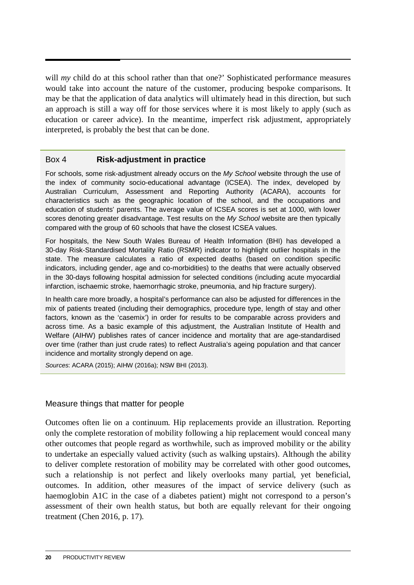will *my* child do at this school rather than that one?' Sophisticated performance measures would take into account the nature of the customer, producing bespoke comparisons. It may be that the application of data analytics will ultimately head in this direction, but such an approach is still a way off for those services where it is most likely to apply (such as education or career advice). In the meantime, imperfect risk adjustment, appropriately interpreted, is probably the best that can be done.

#### Box 4 **Risk-adjustment in practice**

For schools, some risk-adjustment already occurs on the *My School* website through the use of the index of community socio-educational advantage (ICSEA). The index, developed by Australian Curriculum, Assessment and Reporting Authority (ACARA), accounts for characteristics such as the geographic location of the school, and the occupations and education of students' parents. The average value of ICSEA scores is set at 1000, with lower scores denoting greater disadvantage. Test results on the *My School* website are then typically compared with the group of 60 schools that have the closest ICSEA values.

For hospitals, the New South Wales Bureau of Health Information (BHI) has developed a 30-day Risk-Standardised Mortality Ratio (RSMR) indicator to highlight outlier hospitals in the state. The measure calculates a ratio of expected deaths (based on condition specific indicators, including gender, age and co-morbidities) to the deaths that were actually observed in the 30-days following hospital admission for selected conditions (including acute myocardial infarction, ischaemic stroke, haemorrhagic stroke, pneumonia, and hip fracture surgery).

In health care more broadly, a hospital's performance can also be adjusted for differences in the mix of patients treated (including their demographics, procedure type, length of stay and other factors, known as the 'casemix') in order for results to be comparable across providers and across time. As a basic example of this adjustment, the Australian Institute of Health and Welfare (AIHW) publishes rates of cancer incidence and mortality that are age-standardised over time (rather than just crude rates) to reflect Australia's ageing population and that cancer incidence and mortality strongly depend on age.

*Sources*: ACARA (2015); AIHW (2016a); NSW BHI (2013).

#### Measure things that matter for people

Outcomes often lie on a continuum. Hip replacements provide an illustration. Reporting only the complete restoration of mobility following a hip replacement would conceal many other outcomes that people regard as worthwhile, such as improved mobility or the ability to undertake an especially valued activity (such as walking upstairs). Although the ability to deliver complete restoration of mobility may be correlated with other good outcomes, such a relationship is not perfect and likely overlooks many partial, yet beneficial, outcomes. In addition, other measures of the impact of service delivery (such as haemoglobin A1C in the case of a diabetes patient) might not correspond to a person's assessment of their own health status, but both are equally relevant for their ongoing treatment (Chen 2016, p. 17).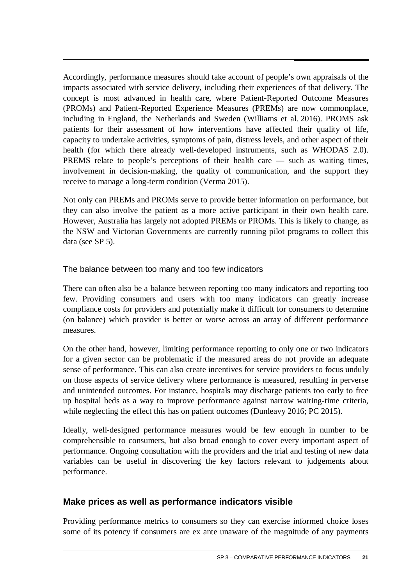Accordingly, performance measures should take account of people's own appraisals of the impacts associated with service delivery, including their experiences of that delivery. The concept is most advanced in health care, where Patient-Reported Outcome Measures (PROMs) and Patient-Reported Experience Measures (PREMs) are now commonplace, including in England, the Netherlands and Sweden (Williams et al. 2016). PROMS ask patients for their assessment of how interventions have affected their quality of life, capacity to undertake activities, symptoms of pain, distress levels, and other aspect of their health (for which there already well-developed instruments, such as WHODAS 2.0). PREMS relate to people's perceptions of their health care — such as waiting times, involvement in decision-making, the quality of communication, and the support they receive to manage a long-term condition (Verma 2015).

Not only can PREMs and PROMs serve to provide better information on performance, but they can also involve the patient as a more active participant in their own health care. However, Australia has largely not adopted PREMs or PROMs. This is likely to change, as the NSW and Victorian Governments are currently running pilot programs to collect this data (see SP 5).

#### The balance between too many and too few indicators

There can often also be a balance between reporting too many indicators and reporting too few. Providing consumers and users with too many indicators can greatly increase compliance costs for providers and potentially make it difficult for consumers to determine (on balance) which provider is better or worse across an array of different performance measures.

On the other hand, however, limiting performance reporting to only one or two indicators for a given sector can be problematic if the measured areas do not provide an adequate sense of performance. This can also create incentives for service providers to focus unduly on those aspects of service delivery where performance is measured, resulting in perverse and unintended outcomes. For instance, hospitals may discharge patients too early to free up hospital beds as a way to improve performance against narrow waiting-time criteria, while neglecting the effect this has on patient outcomes (Dunleavy 2016; PC 2015).

Ideally, well-designed performance measures would be few enough in number to be comprehensible to consumers, but also broad enough to cover every important aspect of performance. Ongoing consultation with the providers and the trial and testing of new data variables can be useful in discovering the key factors relevant to judgements about performance.

#### **Make prices as well as performance indicators visible**

Providing performance metrics to consumers so they can exercise informed choice loses some of its potency if consumers are ex ante unaware of the magnitude of any payments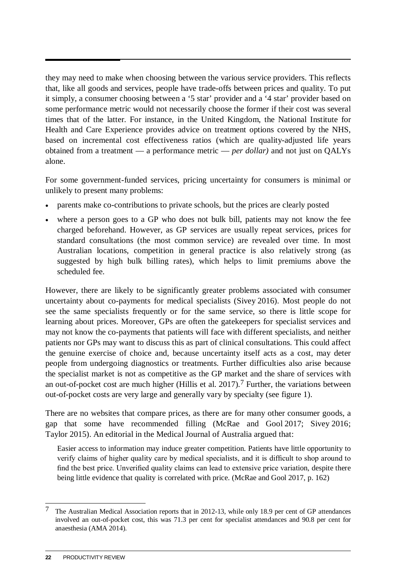they may need to make when choosing between the various service providers. This reflects that, like all goods and services, people have trade-offs between prices and quality. To put it simply, a consumer choosing between a '5 star' provider and a '4 star' provider based on some performance metric would not necessarily choose the former if their cost was several times that of the latter. For instance, in the United Kingdom, the National Institute for Health and Care Experience provides advice on treatment options covered by the NHS, based on incremental cost effectiveness ratios (which are quality-adjusted life years obtained from a treatment — a performance metric — *per dollar)* and not just on QALYs alone.

For some government-funded services, pricing uncertainty for consumers is minimal or unlikely to present many problems:

- parents make co-contributions to private schools, but the prices are clearly posted
- where a person goes to a GP who does not bulk bill, patients may not know the fee charged beforehand. However, as GP services are usually repeat services, prices for standard consultations (the most common service) are revealed over time. In most Australian locations, competition in general practice is also relatively strong (as suggested by high bulk billing rates), which helps to limit premiums above the scheduled fee.

However, there are likely to be significantly greater problems associated with consumer uncertainty about co-payments for medical specialists (Sivey 2016). Most people do not see the same specialists frequently or for the same service, so there is little scope for learning about prices. Moreover, GPs are often the gatekeepers for specialist services and may not know the co-payments that patients will face with different specialists, and neither patients nor GPs may want to discuss this as part of clinical consultations. This could affect the genuine exercise of choice and, because uncertainty itself acts as a cost, may deter people from undergoing diagnostics or treatments. Further difficulties also arise because the specialist market is not as competitive as the GP market and the share of services with an out-of-pocket cost are much higher (Hillis et al. 2017).[7](#page-23-0) Further, the variations between out-of-pocket costs are very large and generally vary by specialty (see figure 1).

There are no websites that compare prices, as there are for many other consumer goods, a gap that some have recommended filling (McRae and Gool 2017; Sivey 2016; Taylor 2015). An editorial in the Medical Journal of Australia argued that:

Easier access to information may induce greater competition. Patients have little opportunity to verify claims of higher quality care by medical specialists, and it is difficult to shop around to find the best price. Unverified quality claims can lead to extensive price variation, despite there being little evidence that quality is correlated with price. (McRae and Gool 2017, p. 162)

<span id="page-23-0"></span><sup>&</sup>lt;u>.</u> <sup>7</sup> The Australian Medical Association reports that in 2012-13, while only 18.9 per cent of GP attendances involved an out-of-pocket cost, this was 71.3 per cent for specialist attendances and 90.8 per cent for anaesthesia (AMA 2014).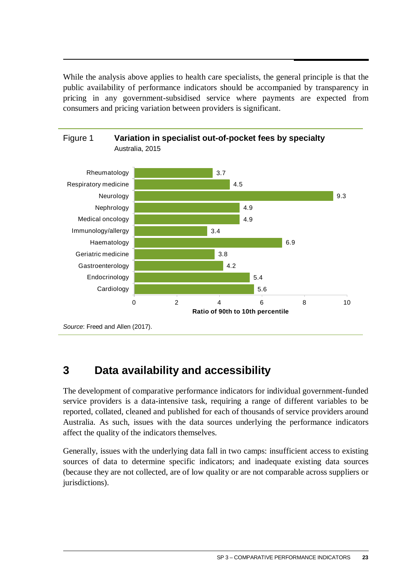<span id="page-24-0"></span>While the analysis above applies to health care specialists, the general principle is that the public availability of performance indicators should be accompanied by transparency in pricing in any government-subsidised service where payments are expected from consumers and pricing variation between providers is significant.



## **3 Data availability and accessibility**

The development of comparative performance indicators for individual government-funded service providers is a data-intensive task, requiring a range of different variables to be reported, collated, cleaned and published for each of thousands of service providers around Australia. As such, issues with the data sources underlying the performance indicators affect the quality of the indicators themselves.

Generally, issues with the underlying data fall in two camps: insufficient access to existing sources of data to determine specific indicators; and inadequate existing data sources (because they are not collected, are of low quality or are not comparable across suppliers or jurisdictions).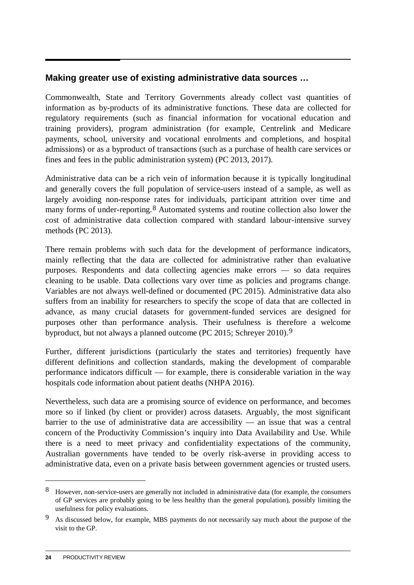#### **Making greater use of existing administrative data sources …**

Commonwealth, State and Territory Governments already collect vast quantities of information as by-products of its administrative functions. These data are collected for regulatory requirements (such as financial information for vocational education and training providers), program administration (for example, Centrelink and Medicare payments, school, university and vocational enrolments and completions, and hospital admissions) or as a byproduct of transactions (such as a purchase of health care services or fines and fees in the public administration system) (PC 2013, 2017).

Administrative data can be a rich vein of information because it is typically longitudinal and generally covers the full population of service-users instead of a sample, as well as largely avoiding non-response rates for individuals, participant attrition over time and many forms of under-reporting.<sup>[8](#page-25-0)</sup> Automated systems and routine collection also lower the cost of administrative data collection compared with standard labour-intensive survey methods (PC 2013).

There remain problems with such data for the development of performance indicators, mainly reflecting that the data are collected for administrative rather than evaluative purposes. Respondents and data collecting agencies make errors — so data requires cleaning to be usable. Data collections vary over time as policies and programs change. Variables are not always well-defined or documented (PC 2015). Administrative data also suffers from an inability for researchers to specify the scope of data that are collected in advance, as many crucial datasets for government-funded services are designed for purposes other than performance analysis. Their usefulness is therefore a welcome byproduct, but not always a planned outcome (PC 2015; Schreyer 2010).[9](#page-25-1)

Further, different jurisdictions (particularly the states and territories) frequently have different definitions and collection standards, making the development of comparable performance indicators difficult — for example, there is considerable variation in the way hospitals code information about patient deaths (NHPA 2016).

Nevertheless, such data are a promising source of evidence on performance, and becomes more so if linked (by client or provider) across datasets. Arguably, the most significant barrier to the use of administrative data are accessibility — an issue that was a central concern of the Productivity Commission's inquiry into Data Availability and Use. While there is a need to meet privacy and confidentiality expectations of the community, Australian governments have tended to be overly risk-averse in providing access to administrative data, even on a private basis between government agencies or trusted users.

<span id="page-25-0"></span><sup>8</sup> However, non-service-users are generally not included in administrative data (for example, the consumers of GP services are probably going to be less healthy than the general population), possibly limiting the usefulness for policy evaluations.

<span id="page-25-1"></span><sup>9</sup> As discussed below, for example, MBS payments do not necessarily say much about the purpose of the visit to the GP.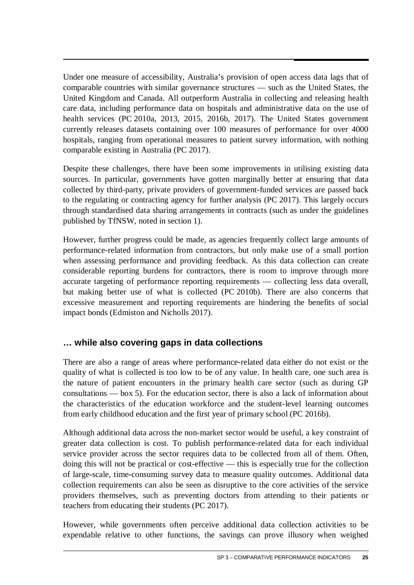Under one measure of accessibility, Australia's provision of open access data lags that of comparable countries with similar governance structures — such as the United States, the United Kingdom and Canada. All outperform Australia in collecting and releasing health care data, including performance data on hospitals and administrative data on the use of health services (PC 2010a, 2013, 2015, 2016b, 2017). The United States government currently releases datasets containing over 100 measures of performance for over 4000 hospitals, ranging from operational measures to patient survey information, with nothing comparable existing in Australia (PC 2017).

Despite these challenges, there have been some improvements in utilising existing data sources. In particular, governments have gotten marginally better at ensuring that data collected by third-party, private providers of government-funded services are passed back to the regulating or contracting agency for further analysis (PC 2017). This largely occurs through standardised data sharing arrangements in contracts (such as under the guidelines published by TfNSW, noted in section 1).

However, further progress could be made, as agencies frequently collect large amounts of performance-related information from contractors, but only make use of a small portion when assessing performance and providing feedback. As this data collection can create considerable reporting burdens for contractors, there is room to improve through more accurate targeting of performance reporting requirements — collecting less data overall, but making better use of what is collected (PC 2010b). There are also concerns that excessive measurement and reporting requirements are hindering the benefits of social impact bonds (Edmiston and Nicholls 2017).

#### **… while also covering gaps in data collections**

There are also a range of areas where performance-related data either do not exist or the quality of what is collected is too low to be of any value. In health care, one such area is the nature of patient encounters in the primary health care sector (such as during GP consultations — box 5). For the education sector, there is also a lack of information about the characteristics of the education workforce and the student-level learning outcomes from early childhood education and the first year of primary school (PC 2016b).

Although additional data across the non-market sector would be useful, a key constraint of greater data collection is cost. To publish performance-related data for each individual service provider across the sector requires data to be collected from all of them. Often, doing this will not be practical or cost-effective — this is especially true for the collection of large-scale, time-consuming survey data to measure quality outcomes. Additional data collection requirements can also be seen as disruptive to the core activities of the service providers themselves, such as preventing doctors from attending to their patients or teachers from educating their students (PC 2017).

However, while governments often perceive additional data collection activities to be expendable relative to other functions, the savings can prove illusory when weighed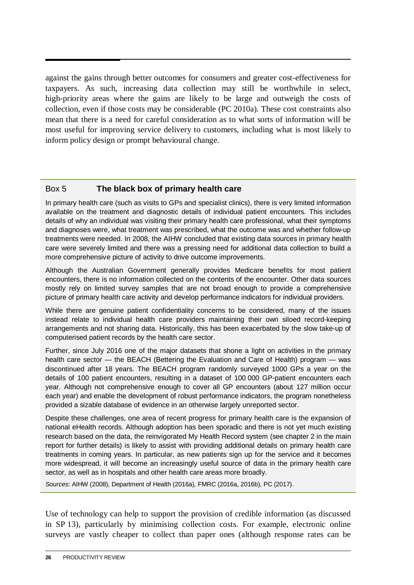against the gains through better outcomes for consumers and greater cost-effectiveness for taxpayers. As such, increasing data collection may still be worthwhile in select, high-priority areas where the gains are likely to be large and outweigh the costs of collection, even if those costs may be considerable (PC 2010a). These cost constraints also mean that there is a need for careful consideration as to what sorts of information will be most useful for improving service delivery to customers, including what is most likely to inform policy design or prompt behavioural change.

#### Box 5 **The black box of primary health care**

In primary health care (such as visits to GPs and specialist clinics), there is very limited information available on the treatment and diagnostic details of individual patient encounters. This includes details of why an individual was visiting their primary health care professional, what their symptoms and diagnoses were, what treatment was prescribed, what the outcome was and whether follow-up treatments were needed. In 2008, the AIHW concluded that existing data sources in primary health care were severely limited and there was a pressing need for additional data collection to build a more comprehensive picture of activity to drive outcome improvements.

Although the Australian Government generally provides Medicare benefits for most patient encounters, there is no information collected on the contents of the encounter. Other data sources mostly rely on limited survey samples that are not broad enough to provide a comprehensive picture of primary health care activity and develop performance indicators for individual providers.

While there are genuine patient confidentiality concerns to be considered, many of the issues instead relate to individual health care providers maintaining their own siloed record-keeping arrangements and not sharing data. Historically, this has been exacerbated by the slow take-up of computerised patient records by the health care sector.

Further, since July 2016 one of the major datasets that shone a light on activities in the primary health care sector — the BEACH (Bettering the Evaluation and Care of Health) program — was discontinued after 18 years. The BEACH program randomly surveyed 1000 GPs a year on the details of 100 patient encounters, resulting in a dataset of 100 000 GP-patient encounters each year. Although not comprehensive enough to cover all GP encounters (about 127 million occur each year) and enable the development of robust performance indicators, the program nonetheless provided a sizable database of evidence in an otherwise largely unreported sector.

Despite these challenges, one area of recent progress for primary health care is the expansion of national eHealth records. Although adoption has been sporadic and there is not yet much existing research based on the data, the reinvigorated My Health Record system (see chapter 2 in the main report for further details) is likely to assist with providing additional details on primary health care treatments in coming years. In particular, as new patients sign up for the service and it becomes more widespread, it will become an increasingly useful source of data in the primary health care sector, as well as in hospitals and other health care areas more broadly.

*Sources*: AIHW (2008), Department of Health (2016a), FMRC (2016a, 2016b), PC (2017).

Use of technology can help to support the provision of credible information (as discussed in SP 13), particularly by minimising collection costs. For example, electronic online surveys are vastly cheaper to collect than paper ones (although response rates can be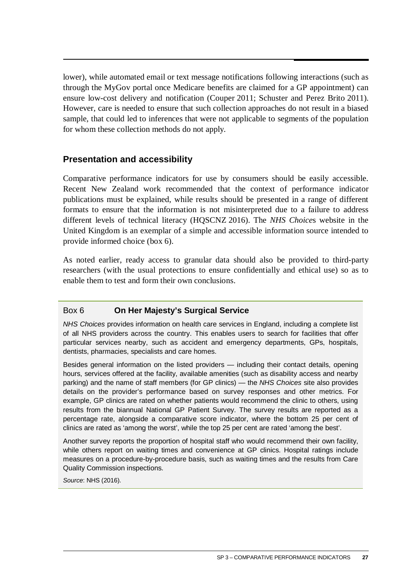lower), while automated email or text message notifications following interactions (such as through the MyGov portal once Medicare benefits are claimed for a GP appointment) can ensure low-cost delivery and notification (Couper 2011; Schuster and Perez Brito 2011). However, care is needed to ensure that such collection approaches do not result in a biased sample, that could led to inferences that were not applicable to segments of the population for whom these collection methods do not apply.

#### **Presentation and accessibility**

Comparative performance indicators for use by consumers should be easily accessible. Recent New Zealand work recommended that the context of performance indicator publications must be explained, while results should be presented in a range of different formats to ensure that the information is not misinterpreted due to a failure to address different levels of technical literacy (HQSCNZ 2016). The *NHS Choice*s website in the United Kingdom is an exemplar of a simple and accessible information source intended to provide informed choice (box 6).

As noted earlier, ready access to granular data should also be provided to third-party researchers (with the usual protections to ensure confidentially and ethical use) so as to enable them to test and form their own conclusions.

#### Box 6 **On Her Majesty's Surgical Service**

*NHS Choices* provides information on health care services in England, including a complete list of all NHS providers across the country. This enables users to search for facilities that offer particular services nearby, such as accident and emergency departments, GPs, hospitals, dentists, pharmacies, specialists and care homes.

Besides general information on the listed providers — including their contact details, opening hours, services offered at the facility, available amenities (such as disability access and nearby parking) and the name of staff members (for GP clinics) — the *NHS Choices* site also provides details on the provider's performance based on survey responses and other metrics. For example, GP clinics are rated on whether patients would recommend the clinic to others, using results from the biannual National GP Patient Survey. The survey results are reported as a percentage rate, alongside a comparative score indicator, where the bottom 25 per cent of clinics are rated as 'among the worst', while the top 25 per cent are rated 'among the best'.

Another survey reports the proportion of hospital staff who would recommend their own facility, while others report on waiting times and convenience at GP clinics. Hospital ratings include measures on a procedure-by-procedure basis, such as waiting times and the results from Care Quality Commission inspections.

*Source*: NHS (2016).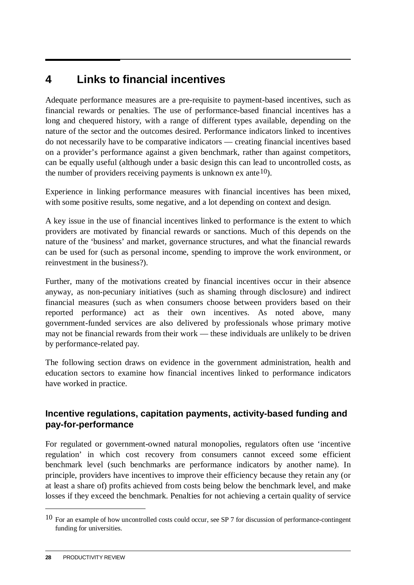### <span id="page-29-0"></span>**4 Links to financial incentives**

Adequate performance measures are a pre-requisite to payment-based incentives, such as financial rewards or penalties. The use of performance-based financial incentives has a long and chequered history, with a range of different types available, depending on the nature of the sector and the outcomes desired. Performance indicators linked to incentives do not necessarily have to be comparative indicators — creating financial incentives based on a provider's performance against a given benchmark, rather than against competitors, can be equally useful (although under a basic design this can lead to uncontrolled costs, as the number of providers receiving payments is unknown ex ante  $(10)$  $(10)$  $(10)$ .

Experience in linking performance measures with financial incentives has been mixed, with some positive results, some negative, and a lot depending on context and design.

A key issue in the use of financial incentives linked to performance is the extent to which providers are motivated by financial rewards or sanctions. Much of this depends on the nature of the 'business' and market, governance structures, and what the financial rewards can be used for (such as personal income, spending to improve the work environment, or reinvestment in the business?).

Further, many of the motivations created by financial incentives occur in their absence anyway, as non-pecuniary initiatives (such as shaming through disclosure) and indirect financial measures (such as when consumers choose between providers based on their reported performance) act as their own incentives. As noted above, many government-funded services are also delivered by professionals whose primary motive may not be financial rewards from their work — these individuals are unlikely to be driven by performance-related pay.

The following section draws on evidence in the government administration, health and education sectors to examine how financial incentives linked to performance indicators have worked in practice.

#### **Incentive regulations, capitation payments, activity-based funding and pay-for-performance**

For regulated or government-owned natural monopolies, regulators often use 'incentive regulation' in which cost recovery from consumers cannot exceed some efficient benchmark level (such benchmarks are performance indicators by another name). In principle, providers have incentives to improve their efficiency because they retain any (or at least a share of) profits achieved from costs being below the benchmark level, and make losses if they exceed the benchmark. Penalties for not achieving a certain quality of service

<span id="page-29-1"></span><sup>10</sup> For an example of how uncontrolled costs could occur, see SP 7 for discussion of performance-contingent funding for universities.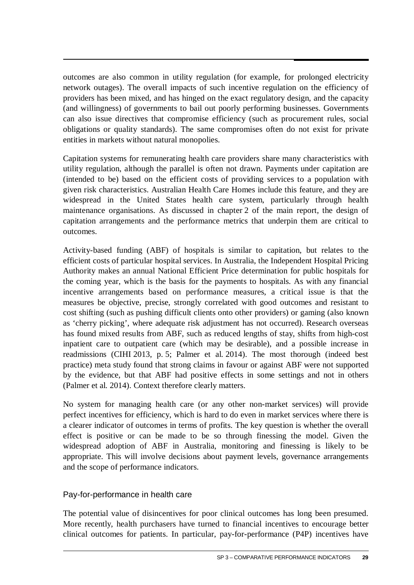outcomes are also common in utility regulation (for example, for prolonged electricity network outages). The overall impacts of such incentive regulation on the efficiency of providers has been mixed, and has hinged on the exact regulatory design, and the capacity (and willingness) of governments to bail out poorly performing businesses. Governments can also issue directives that compromise efficiency (such as procurement rules, social obligations or quality standards). The same compromises often do not exist for private entities in markets without natural monopolies.

Capitation systems for remunerating health care providers share many characteristics with utility regulation, although the parallel is often not drawn. Payments under capitation are (intended to be) based on the efficient costs of providing services to a population with given risk characteristics. Australian Health Care Homes include this feature, and they are widespread in the United States health care system, particularly through health maintenance organisations. As discussed in chapter 2 of the main report, the design of capitation arrangements and the performance metrics that underpin them are critical to outcomes.

Activity-based funding (ABF) of hospitals is similar to capitation, but relates to the efficient costs of particular hospital services. In Australia, the Independent Hospital Pricing Authority makes an annual National Efficient Price determination for public hospitals for the coming year, which is the basis for the payments to hospitals. As with any financial incentive arrangements based on performance measures, a critical issue is that the measures be objective, precise, strongly correlated with good outcomes and resistant to cost shifting (such as pushing difficult clients onto other providers) or gaming (also known as 'cherry picking', where adequate risk adjustment has not occurred). Research overseas has found mixed results from ABF, such as reduced lengths of stay, shifts from high-cost inpatient care to outpatient care (which may be desirable), and a possible increase in readmissions (CIHI 2013, p. 5; Palmer et al. 2014). The most thorough (indeed best practice) meta study found that strong claims in favour or against ABF were not supported by the evidence, but that ABF had positive effects in some settings and not in others (Palmer et al. 2014). Context therefore clearly matters.

No system for managing health care (or any other non-market services) will provide perfect incentives for efficiency, which is hard to do even in market services where there is a clearer indicator of outcomes in terms of profits. The key question is whether the overall effect is positive or can be made to be so through finessing the model. Given the widespread adoption of ABF in Australia, monitoring and finessing is likely to be appropriate. This will involve decisions about payment levels, governance arrangements and the scope of performance indicators.

#### Pay-for-performance in health care

The potential value of disincentives for poor clinical outcomes has long been presumed. More recently, health purchasers have turned to financial incentives to encourage better clinical outcomes for patients. In particular, pay-for-performance (P4P) incentives have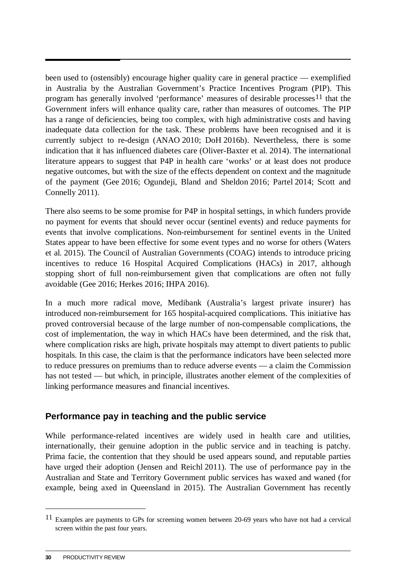been used to (ostensibly) encourage higher quality care in general practice — exemplified in Australia by the Australian Government's Practice Incentives Program (PIP). This program has generally involved 'performance' measures of desirable processes<sup>[11](#page-31-0)</sup> that the Government infers will enhance quality care, rather than measures of outcomes. The PIP has a range of deficiencies, being too complex, with high administrative costs and having inadequate data collection for the task. These problems have been recognised and it is currently subject to re-design (ANAO 2010; DoH 2016b). Nevertheless, there is some indication that it has influenced diabetes care (Oliver-Baxter et al. 2014). The international literature appears to suggest that P4P in health care 'works' or at least does not produce negative outcomes, but with the size of the effects dependent on context and the magnitude of the payment (Gee 2016; Ogundeji, Bland and Sheldon 2016; Partel 2014; Scott and Connelly 2011).

There also seems to be some promise for P4P in hospital settings, in which funders provide no payment for events that should never occur (sentinel events) and reduce payments for events that involve complications. Non-reimbursement for sentinel events in the United States appear to have been effective for some event types and no worse for others (Waters et al. 2015). The Council of Australian Governments (COAG) intends to introduce pricing incentives to reduce 16 Hospital Acquired Complications (HACs) in 2017, although stopping short of full non-reimbursement given that complications are often not fully avoidable (Gee 2016; Herkes 2016; IHPA 2016).

In a much more radical move, Medibank (Australia's largest private insurer) has introduced non-reimbursement for 165 hospital-acquired complications. This initiative has proved controversial because of the large number of non-compensable complications, the cost of implementation, the way in which HACs have been determined, and the risk that, where complication risks are high, private hospitals may attempt to divert patients to public hospitals. In this case, the claim is that the performance indicators have been selected more to reduce pressures on premiums than to reduce adverse events — a claim the Commission has not tested — but which, in principle, illustrates another element of the complexities of linking performance measures and financial incentives.

#### **Performance pay in teaching and the public service**

While performance-related incentives are widely used in health care and utilities, internationally, their genuine adoption in the public service and in teaching is patchy. Prima facie, the contention that they should be used appears sound, and reputable parties have urged their adoption (Jensen and Reichl 2011). The use of performance pay in the Australian and State and Territory Government public services has waxed and waned (for example, being axed in Queensland in 2015). The Australian Government has recently

<span id="page-31-0"></span><sup>11</sup> Examples are payments to GPs for screening women between 20-69 years who have not had a cervical screen within the past four years.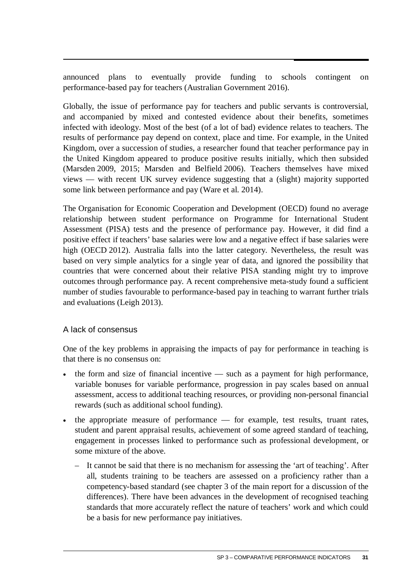announced plans to eventually provide funding to schools contingent on performance-based pay for teachers (Australian Government 2016).

Globally, the issue of performance pay for teachers and public servants is controversial, and accompanied by mixed and contested evidence about their benefits, sometimes infected with ideology. Most of the best (of a lot of bad) evidence relates to teachers. The results of performance pay depend on context, place and time. For example, in the United Kingdom, over a succession of studies, a researcher found that teacher performance pay in the United Kingdom appeared to produce positive results initially, which then subsided (Marsden 2009, 2015; Marsden and Belfield 2006). Teachers themselves have mixed views — with recent UK survey evidence suggesting that a (slight) majority supported some link between performance and pay (Ware et al. 2014).

The Organisation for Economic Cooperation and Development (OECD) found no average relationship between student performance on Programme for International Student Assessment (PISA) tests and the presence of performance pay. However, it did find a positive effect if teachers' base salaries were low and a negative effect if base salaries were high (OECD 2012). Australia falls into the latter category. Nevertheless, the result was based on very simple analytics for a single year of data, and ignored the possibility that countries that were concerned about their relative PISA standing might try to improve outcomes through performance pay. A recent comprehensive meta-study found a sufficient number of studies favourable to performance-based pay in teaching to warrant further trials and evaluations (Leigh 2013).

#### A lack of consensus

One of the key problems in appraising the impacts of pay for performance in teaching is that there is no consensus on:

- the form and size of financial incentive  $-$  such as a payment for high performance, variable bonuses for variable performance, progression in pay scales based on annual assessment, access to additional teaching resources, or providing non-personal financial rewards (such as additional school funding).
- the appropriate measure of performance for example, test results, truant rates, student and parent appraisal results, achievement of some agreed standard of teaching, engagement in processes linked to performance such as professional development, or some mixture of the above.
	- It cannot be said that there is no mechanism for assessing the 'art of teaching'. After all, students training to be teachers are assessed on a proficiency rather than a competency-based standard (see chapter 3 of the main report for a discussion of the differences). There have been advances in the development of recognised teaching standards that more accurately reflect the nature of teachers' work and which could be a basis for new performance pay initiatives.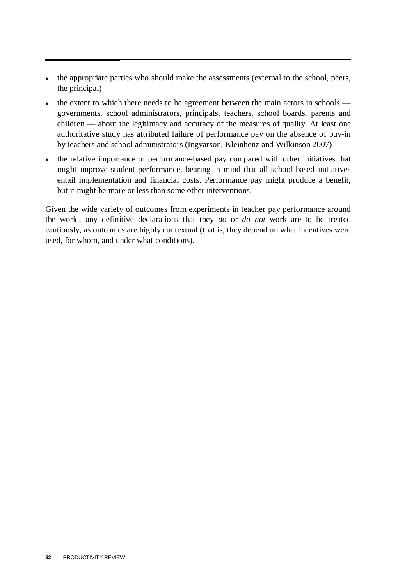- the appropriate parties who should make the assessments (external to the school, peers, the principal)
- the extent to which there needs to be agreement between the main actors in schools governments, school administrators, principals, teachers, school boards, parents and children — about the legitimacy and accuracy of the measures of quality. At least one authoritative study has attributed failure of performance pay on the absence of buy-in by teachers and school administrators (Ingvarson, Kleinhenz and Wilkinson 2007)
- the relative importance of performance-based pay compared with other initiatives that might improve student performance, bearing in mind that all school-based initiatives entail implementation and financial costs. Performance pay might produce a benefit, but it might be more or less than some other interventions.

Given the wide variety of outcomes from experiments in teacher pay performance around the world, any definitive declarations that they *do* or *do not* work are to be treated cautiously, as outcomes are highly contextual (that is, they depend on what incentives were used, for whom, and under what conditions).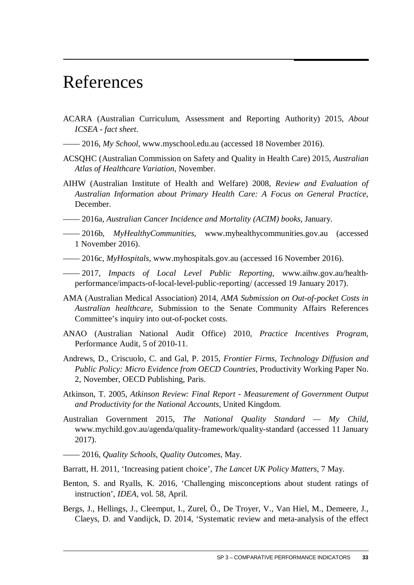# <span id="page-34-0"></span>References

- ACARA (Australian Curriculum, Assessment and Reporting Authority) 2015, *About ICSEA - fact sheet*.
- —— 2016, *My School*, www.myschool.edu.au (accessed 18 November 2016).
- ACSQHC (Australian Commission on Safety and Quality in Health Care) 2015, *Australian Atlas of Healthcare Variation*, November.
- AIHW (Australian Institute of Health and Welfare) 2008, *Review and Evaluation of Australian Information about Primary Health Care: A Focus on General Practice*, December.
- —— 2016a, *Australian Cancer Incidence and Mortality (ACIM) books*, January.
- —— 2016b, *MyHealthyCommunities*, www.myhealthycommunities.gov.au (accessed 1 November 2016).
- —— 2016c, *MyHospitals*, www.myhospitals.gov.au (accessed 16 November 2016).
- —— 2017, *Impacts of Local Level Public Reporting*, www.aihw.gov.au/healthperformance/impacts-of-local-level-public-reporting/ (accessed 19 January 2017).
- AMA (Australian Medical Association) 2014, *AMA Submission on Out-of-pocket Costs in Australian healthcare*, Submission to the Senate Community Affairs References Committee's inquiry into out-of-pocket costs.
- ANAO (Australian National Audit Office) 2010, *Practice Incentives Program*, Performance Audit, 5 of 2010-11.
- Andrews, D., Criscuolo, C. and Gal, P. 2015, *Frontier Firms, Technology Diffusion and Public Policy: Micro Evidence from OECD Countries*, Productivity Working Paper No. 2, November, OECD Publishing, Paris.
- Atkinson, T. 2005, *Atkinson Review: Final Report Measurement of Government Output and Productivity for the National Accounts*, United Kingdom.
- Australian Government 2015, *The National Quality Standard My Child*, www.mychild.gov.au/agenda/quality-framework/quality-standard (accessed 11 January 2017).
- —— 2016, *Quality Schools, Quality Outcomes*, May.
- Barratt, H. 2011, 'Increasing patient choice', *The Lancet UK Policy Matters*, 7 May.
- Benton, S. and Ryalls, K. 2016, 'Challenging misconceptions about student ratings of instruction', *IDEA*, vol. 58, April.
- Bergs, J., Hellings, J., Cleemput, I., Zurel, Ö., De Troyer, V., Van Hiel, M., Demeere, J., Claeys, D. and Vandijck, D. 2014, 'Systematic review and meta-analysis of the effect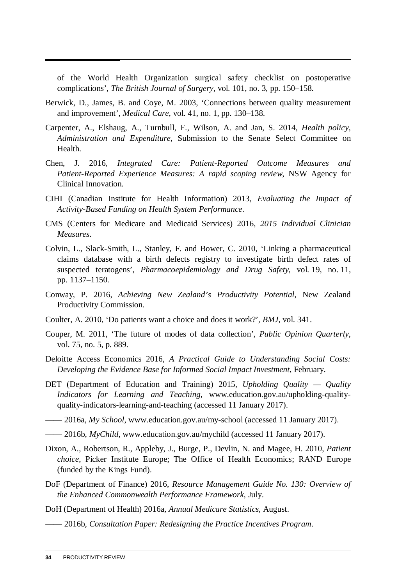of the World Health Organization surgical safety checklist on postoperative complications', *The British Journal of Surgery*, vol. 101, no. 3, pp. 150–158.

- Berwick, D., James, B. and Coye, M. 2003, 'Connections between quality measurement and improvement', *Medical Care*, vol. 41, no. 1, pp. 130–138.
- Carpenter, A., Elshaug, A., Turnbull, F., Wilson, A. and Jan, S. 2014, *Health policy, Administration and Expenditure*, Submission to the Senate Select Committee on Health.
- Chen, J. 2016, *Integrated Care: Patient-Reported Outcome Measures and Patient-Reported Experience Measures: A rapid scoping review*, NSW Agency for Clinical Innovation.
- CIHI (Canadian Institute for Health Information) 2013, *Evaluating the Impact of Activity-Based Funding on Health System Performance*.
- CMS (Centers for Medicare and Medicaid Services) 2016, *2015 Individual Clinician Measures*.
- Colvin, L., Slack-Smith, L., Stanley, F. and Bower, C. 2010, 'Linking a pharmaceutical claims database with a birth defects registry to investigate birth defect rates of suspected teratogens', *Pharmacoepidemiology and Drug Safety*, vol. 19, no. 11, pp. 1137–1150.
- Conway, P. 2016, *Achieving New Zealand's Productivity Potential*, New Zealand Productivity Commission.
- Coulter, A. 2010, 'Do patients want a choice and does it work?', *BMJ*, vol. 341.
- Couper, M. 2011, 'The future of modes of data collection', *Public Opinion Quarterly*, vol. 75, no. 5, p. 889.
- Deloitte Access Economics 2016, *A Practical Guide to Understanding Social Costs: Developing the Evidence Base for Informed Social Impact Investment*, February.
- DET (Department of Education and Training) 2015, *Upholding Quality Quality Indicators for Learning and Teaching*, www.education.gov.au/upholding-qualityquality-indicators-learning-and-teaching (accessed 11 January 2017).
- —— 2016a, *My School*, www.education.gov.au/my-school (accessed 11 January 2017).
- —— 2016b, *MyChild*, www.education.gov.au/mychild (accessed 11 January 2017).
- Dixon, A., Robertson, R., Appleby, J., Burge, P., Devlin, N. and Magee, H. 2010, *Patient choice*, Picker Institute Europe; The Office of Health Economics; RAND Europe (funded by the Kings Fund).
- DoF (Department of Finance) 2016, *Resource Management Guide No. 130: Overview of the Enhanced Commonwealth Performance Framework*, July.
- DoH (Department of Health) 2016a, *Annual Medicare Statistics*, August.
- —— 2016b, *Consultation Paper: Redesigning the Practice Incentives Program*.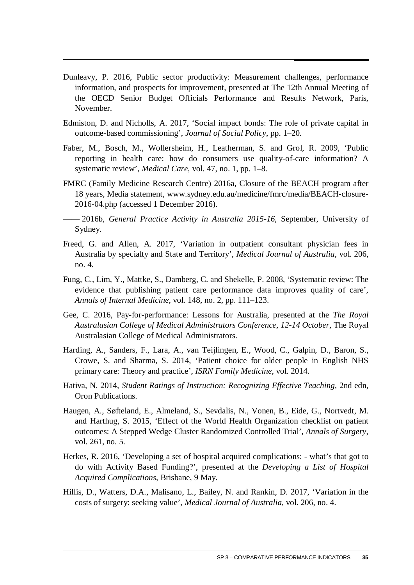- Dunleavy, P. 2016, Public sector productivity: Measurement challenges, performance information, and prospects for improvement, presented at The 12th Annual Meeting of the OECD Senior Budget Officials Performance and Results Network, Paris, November.
- Edmiston, D. and Nicholls, A. 2017, 'Social impact bonds: The role of private capital in outcome-based commissioning', *Journal of Social Policy*, pp. 1–20.
- Faber, M., Bosch, M., Wollersheim, H., Leatherman, S. and Grol, R. 2009, 'Public reporting in health care: how do consumers use quality-of-care information? A systematic review', *Medical Care*, vol. 47, no. 1, pp. 1–8.
- FMRC (Family Medicine Research Centre) 2016a, Closure of the BEACH program after 18 years, Media statement, www.sydney.edu.au/medicine/fmrc/media/BEACH-closure-2016-04.php (accessed 1 December 2016).
- —— 2016b, *General Practice Activity in Australia 2015-16*, September, University of Sydney.
- Freed, G. and Allen, A. 2017, 'Variation in outpatient consultant physician fees in Australia by specialty and State and Territory', *Medical Journal of Australia*, vol. 206, no. 4.
- Fung, C., Lim, Y., Mattke, S., Damberg, C. and Shekelle, P. 2008, 'Systematic review: The evidence that publishing patient care performance data improves quality of care', *Annals of Internal Medicine*, vol. 148, no. 2, pp. 111–123.
- Gee, C. 2016, Pay-for-performance: Lessons for Australia, presented at the *The Royal Australasian College of Medical Administrators Conference, 12-14 October*, The Royal Australasian College of Medical Administrators.
- Harding, A., Sanders, F., Lara, A., van Teijlingen, E., Wood, C., Galpin, D., Baron, S., Crowe, S. and Sharma, S. 2014, 'Patient choice for older people in English NHS primary care: Theory and practice', *ISRN Family Medicine*, vol. 2014.
- Hativa, N. 2014, *Student Ratings of Instruction: Recognizing Effective Teaching*, 2nd edn, Oron Publications.
- Haugen, A., Søfteland, E., Almeland, S., Sevdalis, N., Vonen, B., Eide, G., Nortvedt, M. and Harthug, S. 2015, 'Effect of the World Health Organization checklist on patient outcomes: A Stepped Wedge Cluster Randomized Controlled Trial', *Annals of Surgery*, vol. 261, no. 5.
- Herkes, R. 2016, 'Developing a set of hospital acquired complications: what's that got to do with Activity Based Funding?', presented at the *Developing a List of Hospital Acquired Complications*, Brisbane, 9 May.
- Hillis, D., Watters, D.A., Malisano, L., Bailey, N. and Rankin, D. 2017, 'Variation in the costs of surgery: seeking value', *Medical Journal of Australia*, vol. 206, no. 4.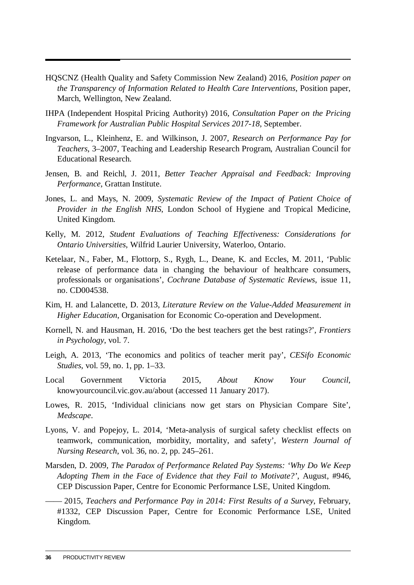- HQSCNZ (Health Quality and Safety Commission New Zealand) 2016, *Position paper on the Transparency of Information Related to Health Care Interventions*, Position paper, March, Wellington, New Zealand.
- IHPA (Independent Hospital Pricing Authority) 2016, *Consultation Paper on the Pricing Framework for Australian Public Hospital Services 2017-18*, September.
- Ingvarson, L., Kleinhenz, E. and Wilkinson, J. 2007, *Research on Performance Pay for Teachers*, 3–2007, Teaching and Leadership Research Program, Australian Council for Educational Research.
- Jensen, B. and Reichl, J. 2011, *Better Teacher Appraisal and Feedback: Improving Performance*, Grattan Institute.
- Jones, L. and Mays, N. 2009, *Systematic Review of the Impact of Patient Choice of Provider in the English NHS*, London School of Hygiene and Tropical Medicine, United Kingdom.
- Kelly, M. 2012, *Student Evaluations of Teaching Effectiveness: Considerations for Ontario Universities*, Wilfrid Laurier University, Waterloo, Ontario.
- Ketelaar, N., Faber, M., Flottorp, S., Rygh, L., Deane, K. and Eccles, M. 2011, 'Public release of performance data in changing the behaviour of healthcare consumers, professionals or organisations', *Cochrane Database of Systematic Reviews*, issue 11, no. CD004538.
- Kim, H. and Lalancette, D. 2013, *Literature Review on the Value-Added Measurement in Higher Education*, Organisation for Economic Co-operation and Development.
- Kornell, N. and Hausman, H. 2016, 'Do the best teachers get the best ratings?', *Frontiers in Psychology*, vol. 7.
- Leigh, A. 2013, 'The economics and politics of teacher merit pay', *CESifo Economic Studies*, vol. 59, no. 1, pp. 1–33.
- Local Government Victoria 2015, *About Know Your Council*, knowyourcouncil.vic.gov.au/about (accessed 11 January 2017).
- Lowes, R. 2015, 'Individual clinicians now get stars on Physician Compare Site', *Medscape*.
- Lyons, V. and Popejoy, L. 2014, 'Meta-analysis of surgical safety checklist effects on teamwork, communication, morbidity, mortality, and safety', *Western Journal of Nursing Research*, vol. 36, no. 2, pp. 245–261.
- Marsden, D. 2009, *The Paradox of Performance Related Pay Systems: 'Why Do We Keep Adopting Them in the Face of Evidence that they Fail to Motivate?'*, August, #946, CEP Discussion Paper, Centre for Economic Performance LSE, United Kingdom.
- —— 2015, *Teachers and Performance Pay in 2014: First Results of a Survey*, February, #1332, CEP Discussion Paper, Centre for Economic Performance LSE, United Kingdom.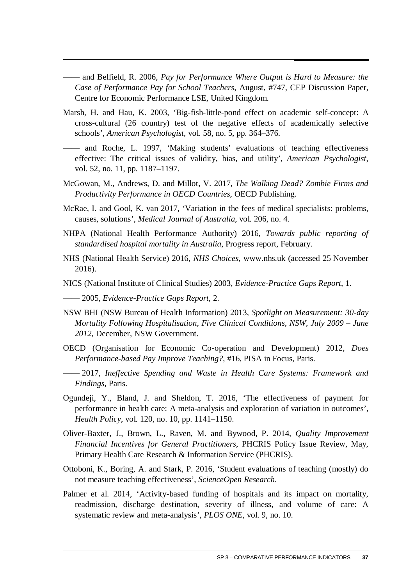—— and Belfield, R. 2006, *Pay for Performance Where Output is Hard to Measure: the Case of Performance Pay for School Teachers*, August, #747, CEP Discussion Paper, Centre for Economic Performance LSE, United Kingdom.

- Marsh, H. and Hau, K. 2003, 'Big-fish-little-pond effect on academic self-concept: A cross-cultural (26 country) test of the negative effects of academically selective schools', *American Psychologist*, vol. 58, no. 5, pp. 364–376.
- —— and Roche, L. 1997, 'Making students' evaluations of teaching effectiveness effective: The critical issues of validity, bias, and utility', *American Psychologist*, vol. 52, no. 11, pp. 1187–1197.
- McGowan, M., Andrews, D. and Millot, V. 2017, *The Walking Dead? Zombie Firms and Productivity Performance in OECD Countries*, OECD Publishing.
- McRae, I. and Gool, K. van 2017, 'Variation in the fees of medical specialists: problems, causes, solutions', *Medical Journal of Australia*, vol. 206, no. 4.
- NHPA (National Health Performance Authority) 2016, *Towards public reporting of standardised hospital mortality in Australia*, Progress report, February.
- NHS (National Health Service) 2016, *NHS Choices*, www.nhs.uk (accessed 25 November 2016).
- NICS (National Institute of Clinical Studies) 2003, *Evidence-Practice Gaps Report*, 1.
- —— 2005, *Evidence-Practice Gaps Report*, 2.
- NSW BHI (NSW Bureau of Health Information) 2013, *Spotlight on Measurement: 30-day Mortality Following Hospitalisation, Five Clinical Conditions, NSW, July 2009 – June 2012*, December, NSW Government.
- OECD (Organisation for Economic Co-operation and Development) 2012, *Does Performance-based Pay Improve Teaching?*, #16, PISA in Focus, Paris.
- —— 2017, *Ineffective Spending and Waste in Health Care Systems: Framework and Findings*, Paris.
- Ogundeji, Y., Bland, J. and Sheldon, T. 2016, 'The effectiveness of payment for performance in health care: A meta-analysis and exploration of variation in outcomes', *Health Policy*, vol. 120, no. 10, pp. 1141–1150.
- Oliver-Baxter, J., Brown, L., Raven, M. and Bywood, P. 2014, *Quality Improvement Financial Incentives for General Practitioners*, PHCRIS Policy Issue Review, May, Primary Health Care Research & Information Service (PHCRIS).
- Ottoboni, K., Boring, A. and Stark, P. 2016, 'Student evaluations of teaching (mostly) do not measure teaching effectiveness', *ScienceOpen Research*.
- Palmer et al. 2014, 'Activity-based funding of hospitals and its impact on mortality, readmission, discharge destination, severity of illness, and volume of care: A systematic review and meta-analysis', *PLOS ONE*, vol. 9, no. 10.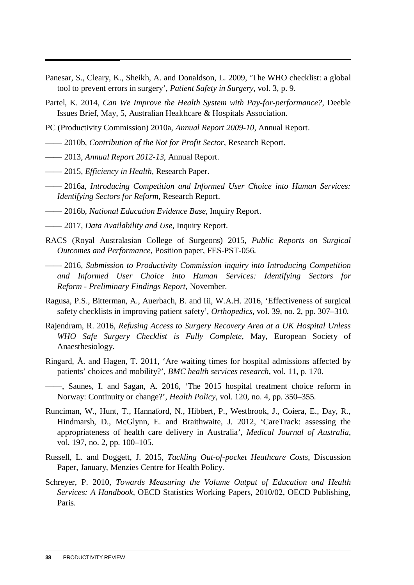- Panesar, S., Cleary, K., Sheikh, A. and Donaldson, L. 2009, 'The WHO checklist: a global tool to prevent errors in surgery', *Patient Safety in Surgery*, vol. 3, p. 9.
- Partel, K. 2014, *Can We Improve the Health System with Pay-for-performance?*, Deeble Issues Brief, May, 5, Australian Healthcare & Hospitals Association.
- PC (Productivity Commission) 2010a, *Annual Report 2009-10*, Annual Report.
- —— 2010b, *Contribution of the Not for Profit Sector*, Research Report.
- —— 2013, *Annual Report 2012-13*, Annual Report.
- —— 2015, *Efficiency in Health*, Research Paper.
- —— 2016a, *Introducing Competition and Informed User Choice into Human Services: Identifying Sectors for Reform*, Research Report.
- —— 2016b, *National Education Evidence Base*, Inquiry Report.
- —— 2017, *Data Availability and Use*, Inquiry Report.
- RACS (Royal Australasian College of Surgeons) 2015, *Public Reports on Surgical Outcomes and Performance*, Position paper, FES-PST-056.
- —— 2016, *Submission to Productivity Commission inquiry into Introducing Competition and Informed User Choice into Human Services: Identifying Sectors for Reform - Preliminary Findings Report*, November.
- Ragusa, P.S., Bitterman, A., Auerbach, B. and Iii, W.A.H. 2016, 'Effectiveness of surgical safety checklists in improving patient safety', *Orthopedics*, vol. 39, no. 2, pp. 307–310.
- Rajendram, R. 2016, *Refusing Access to Surgery Recovery Area at a UK Hospital Unless WHO Safe Surgery Checklist is Fully Complete*, May, European Society of Anaesthesiology.
- Ringard, Å. and Hagen, T. 2011, 'Are waiting times for hospital admissions affected by patients' choices and mobility?', *BMC health services research*, vol. 11, p. 170.
- ——, Saunes, I. and Sagan, A. 2016, 'The 2015 hospital treatment choice reform in Norway: Continuity or change?', *Health Policy*, vol. 120, no. 4, pp. 350–355.
- Runciman, W., Hunt, T., Hannaford, N., Hibbert, P., Westbrook, J., Coiera, E., Day, R., Hindmarsh, D., McGlynn, E. and Braithwaite, J. 2012, 'CareTrack: assessing the appropriateness of health care delivery in Australia', *Medical Journal of Australia*, vol. 197, no. 2, pp. 100–105.
- Russell, L. and Doggett, J. 2015, *Tackling Out-of-pocket Heathcare Costs*, Discussion Paper, January, Menzies Centre for Health Policy.
- Schreyer, P. 2010, *Towards Measuring the Volume Output of Education and Health Services: A Handbook*, OECD Statistics Working Papers, 2010/02, OECD Publishing, Paris.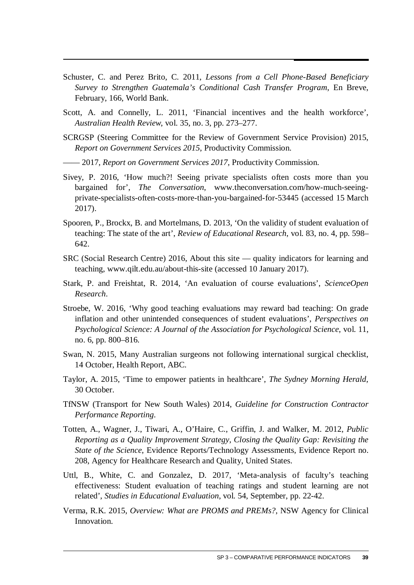- Schuster, C. and Perez Brito, C. 2011, *Lessons from a Cell Phone-Based Beneficiary Survey to Strengthen Guatemala's Conditional Cash Transfer Program*, En Breve, February, 166, World Bank.
- Scott, A. and Connelly, L. 2011, 'Financial incentives and the health workforce', *Australian Health Review*, vol. 35, no. 3, pp. 273–277.
- SCRGSP (Steering Committee for the Review of Government Service Provision) 2015, *Report on Government Services 2015*, Productivity Commission.
- —— 2017, *Report on Government Services 2017*, Productivity Commission.
- Sivey, P. 2016, 'How much?! Seeing private specialists often costs more than you bargained for', *The Conversation*, www.theconversation.com/how-much-seeingprivate-specialists-often-costs-more-than-you-bargained-for-53445 (accessed 15 March 2017).
- Spooren, P., Brockx, B. and Mortelmans, D. 2013, 'On the validity of student evaluation of teaching: The state of the art', *Review of Educational Research*, vol. 83, no. 4, pp. 598– 642.
- SRC (Social Research Centre) 2016, About this site quality indicators for learning and teaching, www.qilt.edu.au/about-this-site (accessed 10 January 2017).
- Stark, P. and Freishtat, R. 2014, 'An evaluation of course evaluations', *ScienceOpen Research*.
- Stroebe, W. 2016, 'Why good teaching evaluations may reward bad teaching: On grade inflation and other unintended consequences of student evaluations', *Perspectives on Psychological Science: A Journal of the Association for Psychological Science*, vol. 11, no. 6, pp. 800–816.
- Swan, N. 2015, Many Australian surgeons not following international surgical checklist, 14 October, Health Report, ABC.
- Taylor, A. 2015, 'Time to empower patients in healthcare', *The Sydney Morning Herald*, 30 October.
- TfNSW (Transport for New South Wales) 2014, *Guideline for Construction Contractor Performance Reporting*.
- Totten, A., Wagner, J., Tiwari, A., O'Haire, C., Griffin, J. and Walker, M. 2012, *Public Reporting as a Quality Improvement Strategy, Closing the Quality Gap: Revisiting the State of the Science*, Evidence Reports/Technology Assessments, Evidence Report no. 208, Agency for Healthcare Research and Quality, United States.
- Uttl, B., White, C. and Gonzalez, D. 2017, 'Meta-analysis of faculty's teaching effectiveness: Student evaluation of teaching ratings and student learning are not related', *Studies in Educational Evaluation*, vol. 54, September, pp. 22-42.
- Verma, R.K. 2015, *Overview: What are PROMS and PREMs?*, NSW Agency for Clinical Innovation.